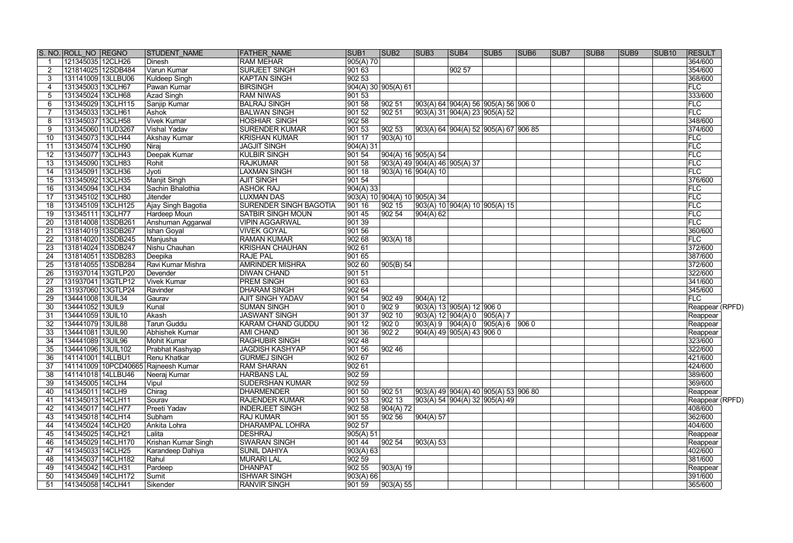|                 | S. NO. ROLL NO REGNO                | <b>STUDENT NAME</b>    | <b>FATHER NAME</b>            | SUB <sub>1</sub> | SUB <sub>2</sub>    | SUB <sub>3</sub>                   | SUB4                          | SUB <sub>5</sub>                             | <b>SUB6</b> | SUB <sub>7</sub> | SUB <sub>8</sub> | SUB <sub>9</sub> | <b>SUB10</b> | <b>RESULT</b>   |
|-----------------|-------------------------------------|------------------------|-------------------------------|------------------|---------------------|------------------------------------|-------------------------------|----------------------------------------------|-------------|------------------|------------------|------------------|--------------|-----------------|
|                 | 121345035 12CLH26                   | Dinesh                 | <b>RAM MEHAR</b>              | 905(A) 70        |                     |                                    |                               |                                              |             |                  |                  |                  |              | 364/600         |
| 2               | 121814025 12SDB484                  | Varun Kumar            | <b>SURJEET SINGH</b>          | 901 63           |                     |                                    | 90257                         |                                              |             |                  |                  |                  |              | 354/600         |
| 3               | 131141009 13LLBU06                  | Kuldeep Singh          | <b>KAPTAN SINGH</b>           | 90253            |                     |                                    |                               |                                              |             |                  |                  |                  |              | 368/600         |
| 4               | 131345003 13CLH67                   | Pawan Kumar            | <b>BIRSINGH</b>               |                  | 904(A) 30 905(A) 61 |                                    |                               |                                              |             |                  |                  |                  |              | FLC             |
| 5               | 131345024 13CLH68                   | Azad Singh             | <b>RAM NIWAS</b>              | 90153            |                     |                                    |                               |                                              |             |                  |                  |                  |              | 333/600         |
| 6               | 131345029 13CLH115                  | Sanjip Kumar           | <b>BALRAJ SINGH</b>           | 901 58           | 902 51              |                                    |                               | $ 903(A) 64   904(A) 56   905(A) 56   906 0$ |             |                  |                  |                  |              | FLC             |
|                 | 131345033 13CLH61                   | Ashok                  | <b>BALWAN SINGH</b>           | 90152            | 902 51              |                                    |                               | 903(A) 31  904(A) 23  905(A) 52              |             |                  |                  |                  |              | FLC             |
| 8               | 131345037 13CLH58                   | <b>Vivek Kumar</b>     | <b>HOSHIAR SINGH</b>          | 902 58           |                     |                                    |                               |                                              |             |                  |                  |                  |              | 348/600         |
| 9               | 131345060 11UD3267                  | Vishal Yadav           | <b>SURENDER KUMAR</b>         | 901 53           | 902 53              |                                    |                               | $903(A) 64   904(A) 52   905(A) 67   906 85$ |             |                  |                  |                  |              | 374/600         |
| 10              | 131345073 13CLH44                   | <b>Akshay Kumar</b>    | <b>KRISHAN KUMAR</b>          | 901 17           | 903(A) 10           |                                    |                               |                                              |             |                  |                  |                  |              | FLC             |
| 11              | 131345074 13CLH90                   | Niraj                  | <b>JAGJIT SINGH</b>           | 904(A)31         |                     |                                    |                               |                                              |             |                  |                  |                  |              | <b>FLC</b>      |
| 12              | 131345077 13CLH43                   | Deepak Kumar           | <b>KULBIR SINGH</b>           | 901 54           |                     | $\sqrt{904(A) 16 \cdot 905(A) 54}$ |                               |                                              |             |                  |                  |                  |              | FLC             |
| 13              | 131345090 13CLH83                   | Rohit                  | <b>RAJKUMAR</b>               | 90158            |                     | $903(A)$ 49 904(A) 46 905(A) 37    |                               |                                              |             |                  |                  |                  |              | FLC             |
| 14              | 131345091 13CLH36                   | Jyoti                  | <b>LAXMAN SINGH</b>           | 90118            |                     | 903(A) 16 904(A) 10                |                               |                                              |             |                  |                  |                  |              | FLC             |
| 15              | 131345092 13CLH35                   | Manjit Singh           | <b>AJIT SINGH</b>             | 90154            |                     |                                    |                               |                                              |             |                  |                  |                  |              | 376/600         |
| 16              | 131345094 13CLH34                   | Sachin Bhalothia       | <b>ASHOK RAJ</b>              | 904(A)33         |                     |                                    |                               |                                              |             |                  |                  |                  |              | FLC             |
| 17              | 131345102 13CLH80                   | Jitender               | <b>LUXMAN DAS</b>             |                  |                     | 903(A) 10   904(A) 10   905(A) 34  |                               |                                              |             |                  |                  |                  |              | <b>FLC</b>      |
| 18              | 131345109 13CLH125                  | Ajay Singh Bagotia     | <b>SURENDER SINGH BAGOTIA</b> | 90116            | 902 15              |                                    |                               | 903(A) 10 904(A) 10 905(A) 15                |             |                  |                  |                  |              | <b>FLC</b>      |
| 19              | 131345111 13CLH77                   | <b>Hardeep Moun</b>    | <b>SATBIR SINGH MOUN</b>      | 901 45           | 90254               | $\sqrt{904(A)}$ 62                 |                               |                                              |             |                  |                  |                  |              | <b>FLC</b>      |
| 20              | 131814008 13SDB261                  | Anshuman Aggarwal      | <b>VIPIN AGGARWAL</b>         | 90139            |                     |                                    |                               |                                              |             |                  |                  |                  |              | <b>FLC</b>      |
| 21              | 131814019 13SDB267                  | <b>Ishan Goyal</b>     | <b>VIVEK GOYAL</b>            | 901 56           |                     |                                    |                               |                                              |             |                  |                  |                  |              | 360/600         |
| 22              | 131814020 13SDB245                  | Manjusha               | <b>RAMAN KUMAR</b>            | 90268            | 903(A) 18           |                                    |                               |                                              |             |                  |                  |                  |              | FLC             |
| 23              | 131814024 13SDB247                  | Nishu Chauhan          | <b>KRISHAN CHAUHAN</b>        | 90261            |                     |                                    |                               |                                              |             |                  |                  |                  |              | 372/600         |
| 24              | 131814051 13SDB283                  | Deepika                | <b>RAJE PAL</b>               | 901 65           |                     |                                    |                               |                                              |             |                  |                  |                  |              | 387/600         |
| 25              | 131814055 13SDB284                  | Ravi Kumar Mishra      | <b>AMRINDER MISHRA</b>        | 902 60           | 905(B) 54           |                                    |                               |                                              |             |                  |                  |                  |              | 372/600         |
| 26              | 131937014 13GTLP20                  | Devender               | <b>DIWAN CHAND</b>            | 90151            |                     |                                    |                               |                                              |             |                  |                  |                  |              | 322/600         |
| 27              | 131937041 13GTLP12                  | <b>Vivek Kumar</b>     | <b>PREM SINGH</b>             | 90163            |                     |                                    |                               |                                              |             |                  |                  |                  |              | 341/600         |
| 28              | 131937060 13GTLP24                  | Ravinder               | <b>DHARAM SINGH</b>           | 902 64           |                     |                                    |                               |                                              |             |                  |                  |                  |              | 345/600         |
| 29              | 134441008 13UIL34                   | Gaurav                 | <b>AJIT SINGH YADAV</b>       | 90154            | $ 90249\rangle$     | 904(A) 12                          |                               |                                              |             |                  |                  |                  |              | FLC             |
| 30              | 134441052 13UIL9                    | Kunal                  | <b>SUMAN SINGH</b>            | 9010             | 9029                |                                    | 903(A) 13 905(A) 12 906 0     |                                              |             |                  |                  |                  |              | Reappear (RPFD) |
| 31              | 134441059 13UIL10                   | Akash                  | JASWANT SINGH                 | 90137            | 902 10              |                                    | 903(A) 12 904(A) 0 905(A) 7   |                                              |             |                  |                  |                  |              | Reappear        |
| 32              | 134441079 13UIL88                   | <b>Tarun Guddu</b>     | <b>KARAM CHAND GUDDU</b>      | 90112            | 9020                |                                    |                               | $903(A) 9$ $904(A) 0$ $905(A) 6$ 906 0       |             |                  |                  |                  |              | Reappear        |
| 33              | 134441081 13UIL90                   | <b>Abhishek Kumar</b>  | <b>AMI CHAND</b>              | 901 36           | 9022                |                                    | $904(A)$ 49 $905(A)$ 43 906 0 |                                              |             |                  |                  |                  |              | Reappear        |
| 34              | 134441089 13UIL96                   | Mohit Kumar            | <b>RAGHUBIR SINGH</b>         | 90248            |                     |                                    |                               |                                              |             |                  |                  |                  |              | 323/600         |
| 35              | 134441096 13UIL102                  | <b>Prabhat Kashyap</b> | <b>JAGDISH KASHYAP</b>        | 901 56           | 90246               |                                    |                               |                                              |             |                  |                  |                  |              | 322/600         |
| $\overline{36}$ | 141141001 14LLBU1                   | Renu Khatkar           | <b>GURMEJ SINGH</b>           | 902 67           |                     |                                    |                               |                                              |             |                  |                  |                  |              | 421/600         |
| 37              | 141141009 10PCD40665 Rajneesh Kumar |                        | <b>RAM SHARAN</b>             | 902 61           |                     |                                    |                               |                                              |             |                  |                  |                  |              | 424/600         |
| 38              | 141141018   14LLBU46                | Neeraj Kumar           | <b>HARBANS LAL</b>            | 90259            |                     |                                    |                               |                                              |             |                  |                  |                  |              | 389/600         |
| 39              | 141345005 14CLH4                    | Vipul                  | <b>SUDERSHAN KUMAR</b>        | 902 59           |                     |                                    |                               |                                              |             |                  |                  |                  |              | 369/600         |
| 40              | 141345011 14CLH9                    | Chirag                 | <b>DHARMENDER</b>             | 901 50           | 902 51              |                                    |                               | 903(A) 49 904(A) 40 905(A) 53 906 80         |             |                  |                  |                  |              | Reappear        |
| 41              | 141345013   14CLH11                 | Sourav                 | <b>RAJENDER KUMAR</b>         | 901 53           | 902 13              |                                    |                               | 903(A) 54  904(A) 32  905(A) 49              |             |                  |                  |                  |              | Reappear (RPFD) |
| 42              | 141345017   14CLH77                 | Preeti Yadav           | <b>INDERJEET SINGH</b>        | 902 58           | 904(A) 72           |                                    |                               |                                              |             |                  |                  |                  |              | 408/600         |
| 43              | 141345018 14CLH14                   | Subham                 | <b>RAJ KUMAR</b>              | 901 55           | 902 56              | 904(A) 57                          |                               |                                              |             |                  |                  |                  |              | 362/600         |
| 44              | 141345024 14CLH20                   | Ankita Lohra           | <b>DHARAMPAL LOHRA</b>        | 902 57           |                     |                                    |                               |                                              |             |                  |                  |                  |              | 404/600         |
| 45              | 141345025 14CLH21                   | Lalita                 | DESHRAJ                       | 905(A) 51        |                     |                                    |                               |                                              |             |                  |                  |                  |              | Reappear        |
| 46              | 141345029 14CLH170                  | Krishan Kumar Singh    | <b>SWARAN SINGH</b>           | 90144            | 90254               | $ 903(A) $ 53                      |                               |                                              |             |                  |                  |                  |              | Reappear        |
| 47              | 141345033 14CLH25                   | Karandeep Dahiya       | <b>SUNIL DAHIYA</b>           | 903(A) 63        |                     |                                    |                               |                                              |             |                  |                  |                  |              | 402/600         |
| 48              | 141345037 14CLH182                  | Rahul                  | <b>MURARI LAL</b>             | 902 59           |                     |                                    |                               |                                              |             |                  |                  |                  |              | 381/600         |
| 49              | 141345042 14CLH31                   | Pardeep                | <b>DHANPAT</b>                | 90255            | 903(A) 19           |                                    |                               |                                              |             |                  |                  |                  |              | Reappear        |
| 50              | 141345049 14CLH172                  | Sumit                  | <b>ISHWAR SINGH</b>           | 903(A) 66        |                     |                                    |                               |                                              |             |                  |                  |                  |              | 391/600         |
| 51              | 141345058 14CLH41                   | Sikender               | <b>RANVIR SINGH</b>           | 901 59           | 903(A) 55           |                                    |                               |                                              |             |                  |                  |                  |              | 365/600         |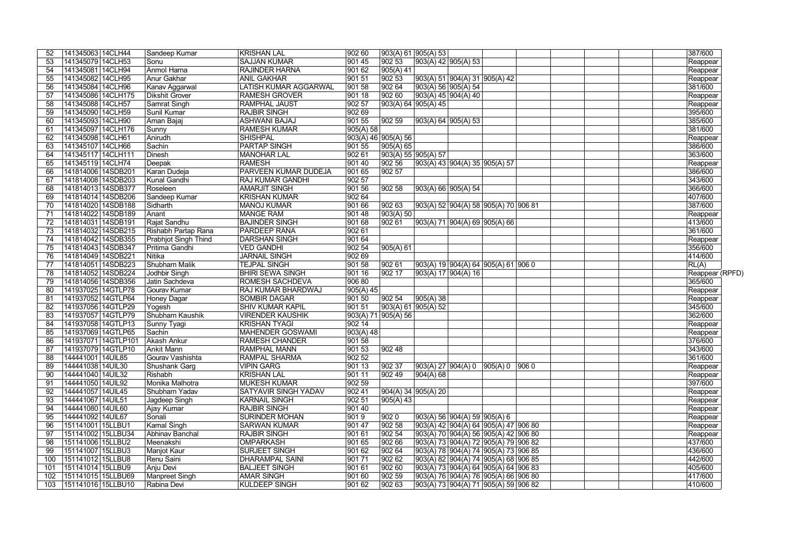| 52  | 141345063 14CLH44   | Sandeep Kumar        | <b>KRISHAN LAL</b>      | 902 60    | 903(A) 61   905(A) 53 |                                              |                                            | 387/600             |
|-----|---------------------|----------------------|-------------------------|-----------|-----------------------|----------------------------------------------|--------------------------------------------|---------------------|
| 53  | 141345079 14CLH53   | Sonu                 | <b>SAJJAN KUMAR</b>     | 901 45    | $ 90253\rangle$       | 903(A) 42   905(A) 53                        |                                            | Reappear            |
| 54  | 141345081 14CLH94   | Anmol Harna          | <b>RAJINDER HARNA</b>   | 901 62    | 905(A) 41             |                                              |                                            | Reappear            |
| 55  | 141345082 14CLH95   | Anur Gakhar          | <b>ANIL GAKHAR</b>      | 901 51    | $ 90253\rangle$       | 903(A) 51   904(A) 31   905(A) 42            |                                            | Reappear            |
| 56  | 141345084 14CLH96   | Kanav Aggarwal       | LATISH KUMAR AGGARWAL   | 90158     | 90264                 | 903(A) 56 905(A) 54                          |                                            | 381/600             |
| 57  | 141345086 14CLH175  | Dikshit Grover       | <b>RAMESH GROVER</b>    | 90118     | 90260                 | 903(A) 45 904(A) 40                          |                                            | Reappear            |
| 58  | 141345088 14CLH57   | Samrat Singh         | <b>RAMPHAL JAUST</b>    | 90257     |                       | 903(A) 64   905(A) 45                        |                                            | Reappear            |
| 59  | 141345090 14CLH59   | Sunil Kumar          | <b>RAJBIR SINGH</b>     | 902 69    |                       |                                              |                                            | 395/600             |
| 60  | 141345093 14CLH90   | Aman Bajaj           | ASHWANI BAJAJ           | 90155     | 90259                 | 903(A) 64 905(A) 53                          |                                            | 385/600             |
| 61  | 141345097 14CLH176  | Sunny                | <b>RAMESH KUMAR</b>     | 905(A) 58 |                       |                                              |                                            | 381/600             |
| 62  | 141345098 14CLH61   | Anirudh              | <b>SHISHPAL</b>         |           | 903(A) 46 905(A) 56   |                                              |                                            | Reappear            |
| 63  | 141345107 14CLH66   | Sachin               | <b>PARTAP SINGH</b>     | 901 55    | 905(A) 65             |                                              |                                            | 386/600             |
| 64  | 141345117 14CLH111  | Dinesh               | <b>MANOHAR LAL</b>      | 90261     | 903(A) 55 905(A) 57   |                                              |                                            | 363/600             |
| 65  | 141345119 14CLH74   | Deepak               | <b>RAMESH</b>           | 901 40    | 902 56                | 903(A) 43   904(A) 35   905(A) 57            |                                            | Reappear            |
| 66  | 141814006 14SDB201  | Karan Dudeja         | PARVEEN KUMAR DUDEJA    | 90165     | 90257                 |                                              |                                            | 386/600             |
| 67  | 141814008 14SDB203  | <b>Kunal Gandhi</b>  | <b>RAJ KUMAR GANDHI</b> | 90257     |                       |                                              |                                            | 343/600             |
| 68  | 141814013 14SDB377  | Roseleen             | <b>AMARJIT SINGH</b>    | 90156     | 902 58                | 903(A) 66 905(A) 54                          |                                            | 366/600             |
| 69  | 141814014 14SDB206  | Sandeep Kumar        | <b>KRISHAN KUMAR</b>    | 90264     |                       |                                              |                                            | 407/600             |
| 70  | 141814020 14SDB188  | Sidharth             | <b>MANOJ KUMAR</b>      | 90166     | 902 63                | 903(A) 52 904(A) 58 905(A) 70 906 81         |                                            | 387/600             |
| 71  | 141814022 14SDB189  | Anant                | <b>MANGE RAM</b>        | 90148     | 903(A) 50             |                                              |                                            | Reappear            |
| 72  | 141814031 14SDB191  | Rajat Sandhu         | <b>BAJINDER SINGH</b>   | 901 68    | 902 61                | 903(A) 71  904(A) 69  905(A) 66              |                                            | 413/600             |
| 73  | 141814032 14SDB215  | Rishabh Partap Rana  | <b>PARDEEP RANA</b>     | 90261     |                       |                                              |                                            | 361/600             |
| 74  | 141814042 14SDB355  | Prabhjot Singh Thind | <b>DARSHAN SINGH</b>    | 90164     |                       |                                              |                                            | Reappear            |
| 75  | 141814043 14SDB347  | Pritima Gandhi       | <b>VED GANDHI</b>       | 90254     | 905(A) 61             |                                              |                                            | 356/600             |
| 76  | 141814049 14SDB221  | Nitika               | <b>JARNAIL SINGH</b>    | 902 69    |                       |                                              |                                            | 414/600             |
| 77  | 141814051 14SDB223  | Shubham Malik        | <b>TEJPAL SINGH</b>     | 901 58    | 902 61                | $ 903(A) 19  904(A) 64  905(A) 61  906 0$    |                                            | RL(A)               |
| 78  | 141814052 14SDB224  | Jodhbir Singh        | <b>BHIRI SEWA SINGH</b> | 90116     | 902 17                | 903(A) 17 904(A) 16                          |                                            | Reappear (RPFD)     |
| 79  | 141814056 14SDB356  | Jatin Sachdeva       | <b>ROMESH SACHDEVA</b>  | 906 80    |                       |                                              |                                            | 365/600             |
| 80  | 141937025 14GTLP78  | Gourav Kumar         | RAJ KUMAR BHARDWAJ      | 905(A) 45 |                       |                                              |                                            | Reappear            |
| 81  | 141937052 14GTLP64  | Honey Dagar          | <b>SOMBIR DAGAR</b>     | 901 50    | 90254                 | 905(A)38                                     |                                            |                     |
| 82  | 141937056 14GTLP29  | Yogesh               | <b>SHIV KUMAR KAPIL</b> | 90151     | 903(A) 61 905(A) 52   |                                              |                                            | Reappear<br>345/600 |
|     | 141937057 14GTLP79  | Shubham Kaushik      | <b>VIRENDER KAUSHIK</b> |           | 903(A) 71 905(A) 56   |                                              |                                            | 362/600             |
| 83  | 141937058 14GTLP13  |                      | <b>KRISHAN TYAGI</b>    | 902 14    |                       |                                              |                                            |                     |
| 84  |                     | Sunny Tyagi          |                         |           |                       |                                              |                                            | Reappear            |
| 85  | 141937069 14GTLP65  | Sachin               | <b>MAHENDER GOSWAMI</b> | 903(A) 48 |                       |                                              |                                            | Reappear            |
| 86  | 141937071 14GTLP101 | Akash Ankur          | <b>RAMESH CHANDER</b>   | 901 58    |                       |                                              |                                            | 376/600             |
| 87  | 141937079 14GTLP10  | Ankit Mann           | <b>RAMPHAL MANN</b>     | 90153     | 90248                 |                                              |                                            | 343/600             |
| 88  | 144441001 14UIL85   | Gourav Vashishta     | RAMPAL SHARMA           | 902 52    |                       |                                              |                                            | 361/600             |
| 89  | 144441038 14UIL30   | Shushank Garg        | <b>VIPIN GARG</b>       | 901 13    | 902 37                | 903(A) 27  904(A) 0  905(A) 0  906 0         |                                            | Reappear            |
| 90  | 144441040 14UIL32   | Rishabh              | <b>KRISHAN LAL</b>      | 901 11    | 902 49                | 904(A) 68                                    |                                            | Reappear            |
| 91  | 144441050 14UIL92   | Monika Malhotra      | <b>MUKESH KUMAR</b>     | 902 59    |                       |                                              |                                            | 397/600             |
| 92  | 144441057 14UIL45   | Shubham Yadav        | SATYAVIR SINGH YADAV    | 90241     |                       | 904(A) 34 905(A) 20                          |                                            | Reappear            |
| 93  | 144441067   14UIL51 | Jagdeep Singh        | <b>KARNAIL SINGH</b>    | 902 51    | 905(A) 43             |                                              |                                            | Reappear            |
| 94  | 144441080 14UIL60   | Ajay Kumar           | <b>RAJBIR SINGH</b>     | 901 40    |                       |                                              |                                            | Reappear            |
| 95  | 144441092   14UIL67 | Sonali               | <b>SURINDER MOHAN</b>   | 9019      | 9020                  | 903(A) 56   904(A) 59   905(A) 6             |                                            | Reappear            |
| 96  | 151141001   15LLBU1 | Kamal Singh          | <b>SARWAN KUMAR</b>     | 90147     | 90258                 | $ 903(A) 42  904(A) 64  905(A) 47  906 80$   |                                            | Reappear            |
| 97  | 151141002 15LLBU34  | Abhinav Banchal      | <b>RAJBIR SINGH</b>     | 90161     | 902 54                | $ 903(A) 70  904(A) 56  905(A) 42  906 80$   |                                            | Reappear            |
| 98  | 151141006 15LLBU2   | Meenakshi            | <b>OMPARKASH</b>        | 901 65    | 90266                 | 903(A) 73 904(A) 72 905(A) 79 906 82         |                                            | 437/600             |
| 99  | 151141007 15LLBU3   | Manjot Kaur          | <b>SURJEET SINGH</b>    | 901 62    | 90264                 | 903(A) 78 904(A) 74 905(A) 73 906 85         |                                            | 436/600             |
| 100 | 151141012 15LLBU8   | Renu Saini           | <b>DHARAMPAL SAINI</b>  | 90171     | 90262                 | 903(A) 82 904(A) 74 905(A) 68 906 85         |                                            | 442/600             |
| 101 | 151141014 15LLBU9   | Anju Devi            | <b>BALJEET SINGH</b>    | 90161     | 90260                 | $903(A) 73   904(A) 64   905(A) 64   906 83$ |                                            | 405/600             |
| 102 | 151141015 15LLBU69  | Manpreet Singh       | <b>AMAR SINGH</b>       | 901 60    | 902 59                | $ 903(A) 76  904(A) 76  905(A) 66  906 80$   |                                            | 417/600             |
| 103 | 151141016 15LLBU10  | Rabina Devi          | <b>KULDEEP SINGH</b>    | 901 62    | 902 63                |                                              | $ 903(A) 73  904(A) 71  905(A) 59  906 82$ | 410/600             |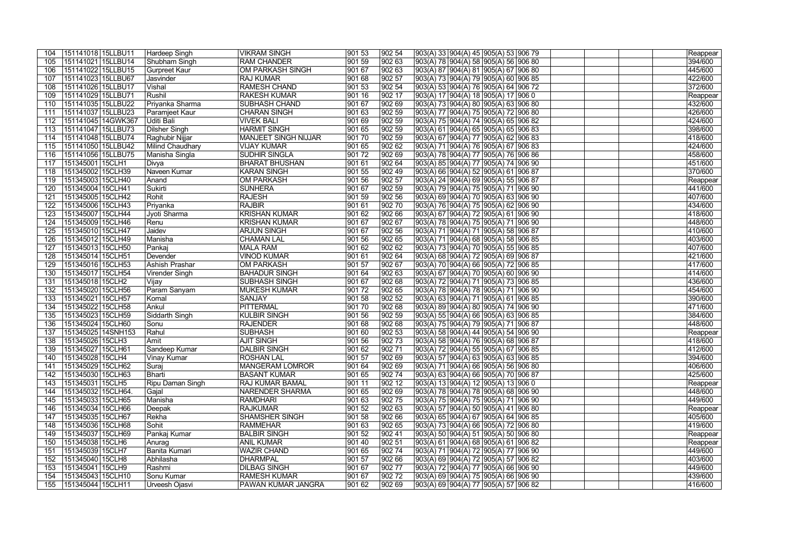|                  | 151141018 15LLBU11  | Hardeep Singh           | <b>VIKRAM SINGH</b>    | 901 53 | 902 54          | 903(A) 33  904(A) 45  905(A) 53  906 79 | Reappear |
|------------------|---------------------|-------------------------|------------------------|--------|-----------------|-----------------------------------------|----------|
| 105              | 151141021 15LLBU14  | Shubham Singh           | <b>RAM CHANDER</b>     | 901 59 | 902 63          | 903(A) 78 904(A) 58 905(A) 56 906 80    | 394/600  |
| 106              | 151141022 15LLBU15  | Gurpreet Kaur           | OM PARKASH SINGH       | 90167  | 902 63          | 903(A) 87 904(A) 81 905(A) 67 906 80    | 445/600  |
| 107              | 151141023 15LLBU67  | Jasvinder               | <b>RAJ KUMAR</b>       | 901 68 | 902 57          | 903(A) 73 904(A) 79 905(A) 60 906 85    | 422/600  |
| 108              | 151141026 15LLBU17  | Vishal                  | <b>RAMESH CHAND</b>    | 90153  | $ 902\,54$      | 903(A) 53 904(A) 76 905(A) 64 906 72    | 372/600  |
|                  | 151141029 15LLBU71  | Rushil                  | <b>RAKESH KUMAR</b>    | 901 16 | 902 17          |                                         |          |
| 109              |                     |                         |                        |        |                 | 903(A) 17  904(A) 18  905(A) 17  906 0  | Reappear |
| 110              | 151141035 15LLBU22  | Priyanka Sharma         | <b>SUBHASH CHAND</b>   | 90167  | 90269           | 903(A) 73 904(A) 80 905(A) 63 906 80    | 432/600  |
| 111              | 151141037 15LLBU23  | Paramjeet Kaur          | <b>CHARAN SINGH</b>    | 90163  | 902 59          | 903(A) 77  904(A) 75  905(A) 72  906 80 | 426/600  |
| 112              | 151141045 14GWK367  | Uditi Bali              | <b>VIVEK BALI</b>      | 901 69 | 90259           | 903(A) 75 904(A) 74 905(A) 65 906 82    | 424/600  |
| 113              | 151141047 15LLBU73  | Dilsher Singh           | <b>HARMIT SINGH</b>    | 90165  | 90259           | 903(A) 61 904(A) 65 905(A) 65 906 83    | 398/600  |
| 114              | 151141048 15LLBU74  | Raghubir Nijjar         | MANJEET SINGH NIJJAR   | 901 70 | 902 59          | 903(A) 67 904(A) 77 905(A) 62 906 83    | 418/600  |
| 115              | 151141050 15LLBU42  | <b>Milind Chaudhary</b> | <b>VIJAY KUMAR</b>     | 901 65 | 90262           | 903(A) 71 904(A) 76 905(A) 67 906 83    | 424/600  |
| 116              | 151141056 15LLBU75  | Manisha Singla          | <b>SUDHIR SINGLA</b>   | 90172  | 902 69          | 903(A) 78  904(A) 77  905(A) 76  906 86 | 458/600  |
| 117              | 151345001 15CLH1    | Divya                   | <b>BHARAT BHUSHAN</b>  | 901 61 | 90264           | 903(A) 85  904(A) 77  905(A) 74  906 90 | 451/600  |
| 118              | 151345002 15CLH39   | Naveen Kumar            | <b>KARAN SINGH</b>     | 901 55 | 90249           | 903(A) 66  904(A) 52  905(A) 61  906 87 | 370/600  |
| 119              | 151345003 15CLH40   | Anand                   | <b>OM PARKASH</b>      | 901 56 | $ 902\,57$      | 903(A) 24 904(A) 69 905(A) 55 906 87    | Reappear |
| 120              | 151345004 15CLH41   | Sukirti                 | SUNHERA                | 90167  | 902 59          | 903(A) 79 904(A) 75 905(A) 71 906 90    | 441/600  |
| 121              | 151345005 15CLH42   | Rohit                   | <b>RAJESH</b>          | 90159  | 902 56          | 903(A) 69 904(A) 70 905(A) 63 906 90    | 407/600  |
| 122              | 151345006 15CLH43   | Priyanka                | <b>RAJBIR</b>          | 901 61 | $ 902\,70$      | 903(A) 76 904(A) 75 905(A) 62 906 90    | 434/600  |
| 123              | 151345007 15CLH44   | Jyoti Sharma            | <b>KRISHAN KUMAR</b>   | 901 62 | 90266           | 903(A) 67 904(A) 72 905(A) 61 906 90    | 418/600  |
| 124              | 151345009   15CLH46 | Renu                    | <b>KRISHAN KUMAR</b>   | 901 67 | 902 67          | 903(A) 78 904(A) 75 905(A) 71 906 90    | 448/600  |
| 125              | 151345010 15CLH47   | Jaidev                  | <b>ARJUN SINGH</b>     | 901 67 | 902 56          |                                         | 410/600  |
|                  | 151345012 15CLH49   | Manisha                 | <b>CHAMAN LAL</b>      | 901 56 |                 | 903(A) 71  904(A) 71  905(A) 58  906 87 | 403/600  |
| 126              |                     |                         |                        |        | 902 65          | 903(A) 71  904(A) 68  905(A) 58  906 85 |          |
| 127              | 151345013 15CLH50   | Pankaj                  | MALA RAM               | 901 62 | 902 62          | 903(A) 73  904(A) 70  905(A) 55  906 85 | 407/600  |
| 128              | 151345014 15CLH51   | Devender                | <b>VINOD KUMAR</b>     | 901 61 | 90264           | 903(A) 68 904(A) 72 905(A) 69 906 87    | 421/600  |
| 129              | 151345016 15CLH53   | Ashish Prashar          | <b>OM PARKASH</b>      | 901 57 | 90267           | 903(A) 70 904(A) 66 905(A) 72 906 85    | 417/600  |
| 13 <sub>C</sub>  | 151345017 15CLH54   | Virender Singh          | <b>BAHADUR SINGH</b>   | 90164  | $ 90263\rangle$ | 903(A) 67 904(A) 70 905(A) 60 906 90    | 414/600  |
| 131              | 151345018 15CLH2    | Vijay                   | <b>SUBHASH SINGH</b>   | 90167  | 90268           | 903(A) 72 904(A) 71 905(A) 73 906 85    | 436/600  |
| 132              | 151345020 15CLH56   | Param Sanyam            | <b>MUKESH KUMAR</b>    | 90172  | 902 65          | 903(A) 78 904(A) 78 905(A) 71 906 90    | 454/600  |
| 133              | 151345021 15CLH57   | Komal                   | SANJAY                 | 90158  | $ 90252\rangle$ | 903(A) 63 904(A) 71 905(A) 61 906 85    | 390/600  |
| 134              | 151345022 15CLH58   | Ankul                   | <b>PITTERMAL</b>       | 90170  | 902 68          | 903(A) 89  904(A) 80  905(A) 74  906 90 | 471/600  |
| 135              | 151345023 15CLH59   | Siddarth Singh          | <b>KULBIR SINGH</b>    | 901 56 | 90259           | 903(A) 55 904(A) 66 905(A) 63 906 85    | 384/600  |
| 136              | 151345024 15CLH60   | Sonu                    | <b>RAJENDER</b>        | 901 68 | 90268           | 903(A) 75 904(A) 79 905(A) 71 906 87    | 448/600  |
| 137              | 151345025 14SNH153  | Rahul                   | SUBHASH                | 901 60 | 90253           | 903(A) 58  904(A) 44  905(A) 54  906 90 | Reappear |
| 138              | 151345026 15CLH3    | Amit                    | <b>AJIT SINGH</b>      | 901 56 | 90273           | 903(A) 58 904(A) 76 905(A) 68 906 87    | 418/600  |
| 139              | 151345027 15CLH61   | Sandeep Kumar           | <b>DALBIR SINGH</b>    | 901 62 | 90271           | 903(A) 72 904(A) 55 905(A) 67 906 85    | 412/600  |
| $\overline{140}$ | 151345028 15CLH4    | ∣Vinay Kumar            | <b>ROSHAN LAL</b>      | 90157  | 90269           | 903(A) 57 904(A) 63 905(A) 63 906 85    | 394/600  |
| 141              | 151345029 15CLH62   | Suraj                   | <b>MANGERAM LOMROR</b> | 901 64 | 90269           | 903(A) 71  904(A) 66  905(A) 56  906 80 | 406/600  |
| 142              | 151345030 15CLH63   | Bharti                  | <b>BASANT KUMAR</b>    | 901 65 | 90274           | 903(A) 63  904(A) 66  905(A) 70  906 87 | 425/600  |
| 143              | 151345031 15CLH5    | <b>Ripu Daman Singh</b> | <b>RAJ KUMAR BAMAL</b> | 901 11 | 902 12          | 903(A) 13  904(A) 12  905(A) 13  906 0  | Reappear |
| 144              | 151345032 15CLH64.  | Gajal                   | NARENDER SHARMA        | 901 65 | 902 69          |                                         | 448/600  |
|                  |                     |                         |                        |        |                 | 903(A) 78  904(A) 78  905(A) 68  906 90 |          |
| 145              | 151345033 15CLH65   | Manisha                 | <b>RAMDHARI</b>        | 901 63 | 90275           | 903(A) 75  904(A) 75  905(A) 71  906 90 | 449/600  |
| 146              | 151345034 15CLH66   | Deepak                  | <b>RAJKUMAR</b>        | 901 52 | 902 63          | 903(A) 57  904(A) 50  905(A) 41  906 80 | Reappear |
| 147              | 151345035 15CLH67   | Rekha                   | SHAMSHER SINGH         | 901 58 | 902 66          | 903(A) 65 904(A) 67 905(A) 64 906 85    | 405/600  |
| 148              | 151345036 15CLH68   | Sohit                   | <b>RAMMEHAR</b>        | 901 63 | 902 65          | 903(A) 73 904(A) 66 905(A) 72 906 80    | 419/600  |
| 149              | 151345037 15CLH69   | Pankaj Kumar            | <b>BALBIR SINGH</b>    | 901 52 | 90241           | 903(A) 50 904(A) 51 905(A) 50 906 80    | Reappear |
| 150              | 151345038 15CLH6    | Anurag                  | <b>ANIL KUMAR</b>      | 901 40 | 902 51          | 903(A) 61 904(A) 68 905(A) 61 906 82    | Reappear |
| 151              | 151345039 15CLH7    | Banita Kumari           | <b>WAZIR CHAND</b>     | 901 65 | 90274           | 903(A) 71  904(A) 72  905(A) 77  906 90 | 449/600  |
| 152              | 151345040 15CLH8    | Abhilasha               | DHARMPAL               | 901 57 | 902 66          | 903(A) 69  904(A) 72  905(A) 57  906 82 | 403/600  |
| 153              | 151345041 15CLH9    | Rashmi                  | <b>DILBAG SINGH</b>    | 901 67 | 90277           | 903(A) 72  904(A) 77  905(A) 66  906 90 | 449/600  |
| 154              | 151345043 15CLH10   | Sonu Kumar              | <b>RAMESH KUMAR</b>    | 901 67 | 90272           | 903(A) 69  904(A) 75  905(A) 66  906 90 | 439/600  |
| 155              | 151345044 15CLH11   | Urveesh Ojasvi          | PAWAN KUMAR JANGRA     | 901 62 | 902 69          | 903(A) 69  904(A) 77  905(A) 57  906 82 | 416/600  |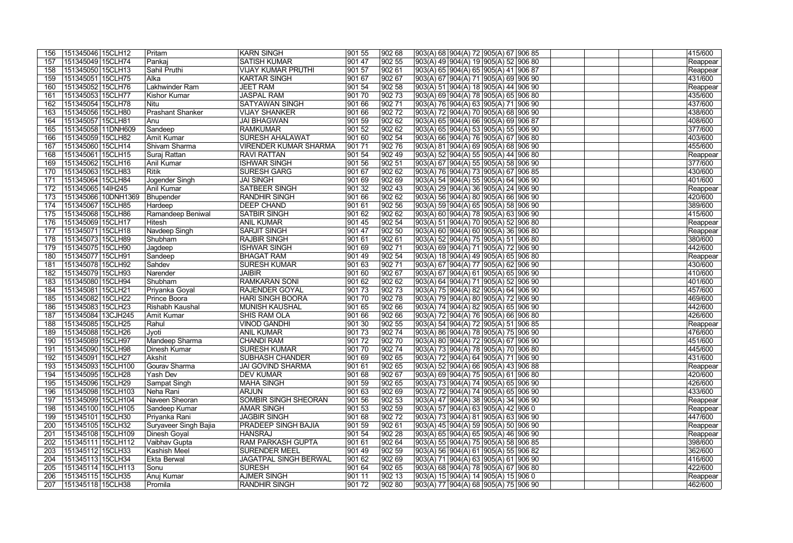| 156             | 151345046 15CLH12   | Pritam                  | KARN SINGH                   | 901 55 | 902 68     | 903(A) 68 904(A) 72 905(A) 67 906 85                         | 415/600             |
|-----------------|---------------------|-------------------------|------------------------------|--------|------------|--------------------------------------------------------------|---------------------|
| 157             | 151345049 15CLH74   | Pankaj                  | <b>SATISH KUMAR</b>          | 901 47 | 902 55     | 903(A) 49 904(A) 19 905(A) 52 906 80                         | Reappear            |
| 158             | 151345050 15CLH13   | Sahil Pruthi            | <b>VIJAY KUMAR PRUTHI</b>    | 90157  | 90261      | 903(A) 65 904(A) 65 905(A) 41 906 87                         | Reappear            |
| 159             | 151345051 15CLH75   | Alka                    | KARTAR SINGH                 | 901 67 | 90267      | 903(A) 67  904(A) 71  905(A) 69  906 90                      | 431/600             |
| 160             | 151345052 15CLH76   | Lakhwinder Ram          | <b>JEET RAM</b>              | 90154  | 902 58     | 903(A) 51  904(A) 18  905(A) 44  906 90                      | Reappear            |
| 16 <sup>7</sup> | 151345053 15CLH77   | Kishor Kumar            | JASPAL RAM                   | 90170  | 90273      | 903(A) 69 904(A) 78 905(A) 65 906 80                         | 435/600             |
| 162             | 151345054 15CLH78   | Nitu                    | <b>SATYAWAN SINGH</b>        | 90166  | $ 902\,71$ | 903(A) 76 904(A) 63 905(A) 71 906 90                         | 437/600             |
| 163             | 151345056 15CLH80   | <b>Prashant Shanker</b> | <b>VIJAY SHANKER</b>         | 901 66 | 90272      | 903(A) 72 904(A) 70 905(A) 68 906 90                         | 438/600             |
| 164             | 151345057 15CLH81   | Anu                     | JAI BHAGWAN                  | 90159  | 90262      | 903(A) 65 904(A) 66 905(A) 69 906 87                         | 408/600             |
| 165             | 151345058 11DNH609  | Sandeep                 | <b>RAMKUMAR</b>              | 90152  | 90262      | 903(A) 65 904(A) 53 905(A) 55 906 90                         | 377/600             |
| 166             | 151345059 15CLH82   | <b>Amit Kumar</b>       | <b>SURESH AHALAWAT</b>       | 90160  | 902 54     | 903(A) 66 904(A) 76 905(A) 67 906 80                         | 403/600             |
| 167             | 151345060 15CLH14   | Shivam Sharma           | <b>VIRENDER KUMAR SHARMA</b> | 90171  | 90276      | 903(A) 81  904(A) 69  905(A) 68  906 90                      | 455/600             |
| 168             | 151345061 15CLH15   | Suraj Rattan            | <b>RAVI RATTAN</b>           | 901 54 | 902 49     | 903(A) 52  904(A) 55  905(A) 44  906 80                      | Reappear            |
| 169             | 151345062 15CLH16   | Anil Kumar              | <b>ISHWAR SINGH</b>          | 901 56 | 902 51     | 903(A) 67  904(A) 55  905(A) 58  906 90                      | 377/600             |
| 170             | 151345063 15CLH83   | Ritik                   | <b>SURESH GARG</b>           | 90167  | 90262      | 903(A) 76 904(A) 73 905(A) 67 906 85                         | 430/600             |
| 171             | 151345064 15CLH84   | Jogender Singh          | <b>JAI SINGH</b>             | 901 69 | 90269      | 903(A) 54 904(A) 55 905(A) 64 906 90                         | 401/600             |
| 172             | 151345065 14lH245   | Anil Kumar              | <b>SATBEER SINGH</b>         | 90132  | 90243      | 903(A) 29 904(A) 36 905(A) 24 906 90                         | Reappear            |
| 173             | 151345066 10DNH1369 | Bhupender               | <b>RANDHIR SINGH</b>         | 90166  | 90262      | 903(A) 56 904(A) 80 905(A) 66 906 90                         | 420/600             |
| 174             | 151345067 15CLH85   | Hardeep                 | <b>DEEP CHAND</b>            | 901 61 | 902 56     | 903(A) 59 904(A) 65 905(A) 58 906 90                         | 389/600             |
| 175             | 151345068 15CLH86   | Ramandeep Beniwal       | <b>SATBIR SINGH</b>          | 90162  | 90262      | 903(A) 60 904(A) 78 905(A) 63 906 90                         | 415/600             |
| 176             | 151345069 15CLH17   | Hitesh                  | <b>ANIL KUMAR</b>            | 90145  | 902 54     | 903(A) 51  904(A) 70  905(A) 52  906 80                      | Reappear            |
| 177             | 151345071 15CLH18   | Navdeep Singh           | <b>SARJIT SINGH</b>          | 901 47 | 902 50     | 903(A) 60  904(A) 60  905(A) 36  906 80                      |                     |
| 178             | 151345073 15CLH89   | Shubham                 | <b>RAJBIR SINGH</b>          | 901 61 | 90261      |                                                              | Reappear<br>380/600 |
| 179             | 151345075 15CLH90   |                         | <b>ISHWAR SINGH</b>          | 901 69 | $ 902\,71$ | 903(A) 52  904(A) 75  905(A) 51  906 80                      | 442/600             |
|                 | 151345077 15CLH91   | Jagdeep                 | <b>BHAGAT RAM</b>            | 901 49 | 90254      | 903(A) 69  904(A) 71  905(A) 72  906 90                      |                     |
| <b>180</b>      |                     | Sandeep                 |                              |        |            | 903(A) 18 904(A) 49 905(A) 65 906 80                         | Reappear            |
| 18 <sup>7</sup> | 151345078 15CLH92   | Sahdev                  | <b>SURESH KUMAR</b>          | 90163  | $ 902\,71$ | 903(A) 67 904(A) 77 905(A) 62 906 90                         | 430/600             |
| 182             | 151345079 15CLH93   | Narender                | <b>JAIBIR</b>                | 90160  | 90267      | 903(A) 67 904(A) 61 905(A) 65 906 90                         | 410/600             |
| 183             | 151345080 15CLH94   | Shubham                 | <b>RAMKARAN SONI</b>         | 90162  | 90262      | 903(A) 64 904(A) 71 905(A) 52 906 90                         | 401/600             |
| 184             | 151345081 15CLH21   | Priyanka Goyal          | <b>RAJENDER GOYAL</b>        | 90173  | 90273      | 903(A) 75 904(A) 82 905(A) 64 906 90                         | 457/600             |
| 185             | 151345082 15CLH22   | Prince Boora            | <b>HARI SINGH BOORA</b>      | 90170  | 90278      | 903(A) 79  904(A) 80  905(A) 72  906 90                      | 469/600             |
| 186             | 151345083 15CLH23   | Rishabh Kaushal         | <b>MUNISH KAUSHAL</b>        | 901 65 | 90266      | 903(A) 74  904(A) 82  905(A) 65  906 90                      | 442/600             |
| 187             | 151345084 13CJH245  | Amit Kumar              | <b>SHIS RAM OLA</b>          | 901 66 | 90266      | 903(A) 72 904(A) 76 905(A) 66 906 80                         | 426/600             |
| 188             | 151345085 15CLH25   | Rahul                   | <b>VINOD GANDHI</b>          | 90130  | $ 902\,55$ | 903(A) 54 904(A) 72 905(A) 51 906 85                         | Reappear            |
| 189             | 151345088 15CLH26   | Jyoti                   | <b>ANIL KUMAR</b>            | 90173  | $ 902\,74$ | 903(A) 86 904(A) 78 905(A) 75 906 90                         | 476/600             |
| 190             | 151345089 15CLH97   | Mandeep Sharma          | <b>CHANDI RAM</b>            | 90172  | $ 902\,70$ | 903(A) 80 904(A) 72 905(A) 67 906 90                         | 451/600             |
| 191             | 151345090 15CLH98   | Dinesh Kumar            | <b>SURESH KUMAR</b>          | 901 70 | 90274      | 903(A) 73 904(A) 78 905(A) 70 906 80                         | 445/600             |
| 192             | 151345091   15CLH27 | ∣Akshit                 | SUBHASH CHANDER              | 901 69 | 90265      | 903(A) 72  904(A) 64  905(A) 71  906 90                      | 431/600             |
| 193             | 151345093 15CLH100  | Gourav Sharma           | <b>JAI GOVIND SHARMA</b>     | 90161  | 902 65     | 903(A) 52 904(A) 66 905(A) 43 906 88                         | Reappear            |
| 194             | 151345095   15CLH28 | Yash Dev                | <b>DEV KUMAR</b>             | 901 68 | 902 67     | 903(A) 69  904(A) 75  905(A) 61  906 80                      | 420/600             |
| 195             | 151345096 15CLH29   | Sampat Singh            | <b>MAHA SINGH</b>            | 901 59 | 902 65     | 903(A) 73  904(A) 74  905(A) 65  906 90                      | 426/600             |
| 196             | 151345098 15CLH103  | Neha Rani               | <b>ARJUN</b>                 | 901 63 | 902 69     | 903(A) 72 904(A) 74 905(A) 65 906 90                         | 433/600             |
| 197             | 151345099 15CLH104  | Naveen Sheoran          | <b>SOMBIR SINGH SHEORAN</b>  | 901 56 | 902 53     | 903(A) 47  904(A) 38  905(A) 34  906 90                      | Reappear            |
| 198             | 151345100 15CLH105  | Sandeep Kumar           | <b>AMAR SINGH</b>            | 901 53 | 902 59     | 903(A) 57 904(A) 63 905(A) 42 906 0                          | Reappear            |
| 199             | 151345101 15CLH30   | Priyanka Rani           | <b>JAGBIR SINGH</b>          | 901 68 | 90272      | 903(A) 73 904(A) 81 905(A) 63 906 90                         | 447/600             |
| 200             | 151345105 15CLH32   | Suryaveer Singh Bajia   | <b>PRADEEP SINGH BAJIA</b>   | 901 59 | 902 61     | 903(A) 45  904(A) 59  905(A) 50  906 90                      | Reappear            |
| 201             | 151345108 15CLH109  | Dinesh Goyal            | <b>HANSRAJ</b>               | 901 54 | 902 28     | 903(A) 65 904(A) 65 905(A) 46 906 90                         | Reappear            |
| 202             | 151345111 15CLH112  | Vaibhav Gupta           | <b>RAM PARKASH GUPTA</b>     | 901 61 | 902 64     | 903(A) 55  904(A) 75  905(A) 58  906 85                      | 398/600             |
| 203             | 151345112 15CLH33   | Kashish Meel            | <b>SURENDER MEEL</b>         | 901 49 | 902 59     | 903(A) 56  904(A) 61  905(A) 55  906 82                      | 362/600             |
| 204             | 151345113 15CLH34   | Ekta Berwal             | <b>JAGATPAL SINGH BERWAL</b> | 901 62 | 902 69     | 903(A) 71  904(A) 63  905(A) 61  906 90                      | 416/600             |
| 205             | 151345114 15CLH113  | Sonu                    | <b>SURESH</b>                | 901 64 | 902 65     | 903(A) 68  904(A) 78  905(A) 67  906 80                      | 422/600             |
| 206             | 151345115 15CLH35   | Anuj Kumar              | <b>AJMER SINGH</b>           | 901 11 | 902 13     | $\boxed{903(A) 15 \mid 904(A) 14 \mid 905(A) 15 \mid 906 0}$ | Reappear            |
| 207             | 151345118 15CLH38   | Promila                 | <b>RANDHIR SINGH</b>         | 90172  | 902 80     | 903(A) 77  904(A) 68  905(A) 75  906 90                      | 462/600             |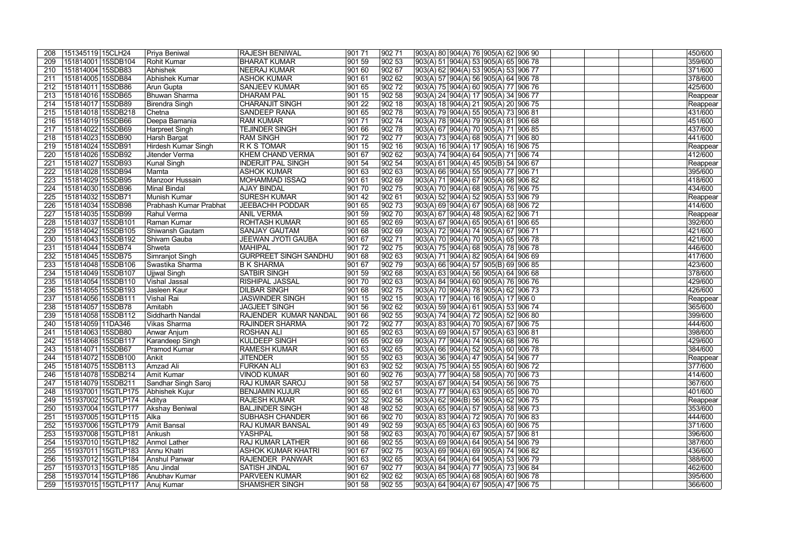| 208 | 151345119 15CLH24    |                                | Priya Beniwal                     | <b>RAJESH BENIWAL</b>        | 901 71          | 902 71          | 903(A) 80 904(A) 76 905(A) 62 906 90          | 450/600  |
|-----|----------------------|--------------------------------|-----------------------------------|------------------------------|-----------------|-----------------|-----------------------------------------------|----------|
| 209 | 151814001 15SDB104   |                                | Rohit Kumar                       | <b>BHARAT KUMAR</b>          | 90159           | 902 53          | $ 903(A) 51   904(A) 53   905(A) 65   906 78$ | 359/600  |
| 210 | 151814004 15SDB83    |                                | Abhishek                          | NEERAJ KUMAR                 | 901 60          | 902 67          | 903(A) 62 904(A) 53 905(A) 53 906 77          | 371/600  |
| 211 | 151814005 15SDB84    |                                | Abhishek Kumar                    | <b>ASHOK KUMAR</b>           | 90161           | 902 62          | 903(A) 57 904(A) 56 905(A) 64 906 78          | 378/600  |
| 212 | 151814011  15SDB86   |                                | Arun Gupta                        | <b>SANJEEV KUMAR</b>         | 90165           | 90272           | 903(A) 75 904(A) 60 905(A) 77 906 76          | 425/600  |
| 213 | 151814016 15SDB65    |                                | Bhuwan Sharma                     | <b>DHARAM PAL</b>            | 901 15          | 902 58          | $ 903(A) 24  904(A) 17  905(A) 34  906 77$    | Reappear |
| 214 | 151814017 15SDB89    |                                | <b>Birendra Singh</b>             | <b>CHARANJIT SINGH</b>       | 90122           | 902 18          | $ 903(A) 18  904(A) 21  905(A) 20  906 75$    | Reappear |
| 215 | 151814018 15SDB218   |                                | Chetna                            | <b>SANDEEP RANA</b>          | 90165           | 902 78          | $ 903(A) 79  904(A) 55  905(A) 73  906 81$    | 431/600  |
| 216 | 151814019 15SDB66    |                                | Deepa Bamania                     | <b>RAM KUMAR</b>             | 90171           | $ 902\,74$      | $ 903(A) 78  904(A) 79  905(A) 81  906 68$    | 451/600  |
| 217 | 151814022 15SDB69    |                                | Harpreet Singh                    | <b>TEJINDER SINGH</b>        | 901 66          | $ 902\,78$      | 903(A) 67   904(A) 70   905(A) 71   906 85    | 437/600  |
| 218 | 151814023 15SDB90    |                                | Harsh Bargat                      | <b>RAM SINGH</b>             | 90172           | 90277           | 903(A) 73  904(A) 68  905(A) 71  906 80       | 441/600  |
| 219 | 151814024 15SDB91    |                                | <b>Hirdesh Kumar Singh</b>        | <b>RKSTOMAR</b>              | 901 15          | 902 16          | $ 903(A) 16  904(A) 17  905(A) 16  906 75$    | Reappear |
| 220 | 151814026 15SDB92    |                                | Jitender Verma                    | <b>KHEM CHAND VERMA</b>      | 90167           | 902 62          | 903(A) 74  904(A) 64  905(A) 71  906 74       | 412/600  |
| 221 | 151814027 15SDB93    |                                | Kunal Singh                       | <b>INDERJIT PAL SINGH</b>    | 901 54          | 902 54          | $ 903(A) 61  904(A) 45  905(B) 54  906 67$    | Reappear |
| 222 | 151814028 15SDB94    |                                | Mamta                             | <b>ASHOK KUMAR</b>           | 901 63          | 90263           | 903(A) 66   904(A) 55   905(A) 77   906 71    | 395/600  |
| 223 | 151814029 15SDB95    |                                | Manzoor Hussain                   | <b>MOHAMMAD ISSAQ</b>        | 90161           | 90269           | $ 903(A) 71  904(A) 67  905(A) 68  906 82$    | 418/600  |
| 224 | 151814030 15SDB96    |                                | <b>Minal Bindal</b>               | <b>AJAY BINDAL</b>           | 901 70          | $ 902\,75$      | 903(A) 70 904(A) 68 905(A) 76 906 75          | 434/600  |
| 225 | 151814032 15SDB71    |                                | Munish Kumar                      | <b>SURESH KUMAR</b>          | $ 90142\rangle$ | 90261           | 903(A) 52 904(A) 52 905(A) 53 906 79          | Reappear |
| 226 | 151814034 15SDB98    |                                | Prabhash Kumar Prabhat            | <b>JEEBACHH PODDAR</b>       | 90165           | $ 902\,73$      | 903(A) 69  904(A) 67  905(A) 68  906 72       | 414/600  |
| 227 | 151814035 15SDB99    |                                | Rahul Verma                       | <b>ANIL VERMA</b>            | 901 59          | 902 70          | 903(A) 67  904(A) 48  905(A) 62  906 71       | Reappear |
| 228 | 151814037 15SDB101   |                                | Raman Kumar                       | <b>ROHTASH KUMAR</b>         | 90165           | 902 69          | 903(A) 67  904(A) 65  905(A) 61  906 65       | 392/600  |
| 229 | 151814042 15SDB105   |                                | Shiwansh Gautam                   | <b>SANJAY GAUTAM</b>         | 901 68          | 902 69          | 903(A) 72  904(A) 74  905(A) 67  906 71       | 421/600  |
| 230 | 151814043 15SDB192   |                                | Shivam Gauba                      | JEEWAN JYOTI GAUBA           | 901 67          | 902 71          | 903(A) 70  904(A) 70  905(A) 65  906 78       | 421/600  |
| 231 | 151814044 15SDB74    |                                | Shweta                            | <b>MAHIPAL</b>               | 90172           | $ 902\,75$      | $903(A)$ 75 904(A) 68 905(A) 78 906 78        | 446/600  |
| 232 | 151814045 15SDB75    |                                | Simranjot Singh                   | <b>GURPREET SINGH SANDHU</b> | 901 68          | $ 90263\rangle$ | $ 903(A) 71  904(A) 82  905(A) 64  906 69$    | 417/600  |
| 233 | 151814048 15SDB106   |                                | Swastika Sharma                   | <b>B K SHARMA</b>            | 901 67          | $ 902\,79$      | $ 903(A) 66  904(A) 57  905(B) 69  906 85$    | 423/600  |
| 234 | 151814049 15SDB107   |                                | <b>Ujjwal Singh</b>               | <b>SATBIR SINGH</b>          | 90159           | 90268           | 903(A) 63 904(A) 56 905(A) 64 906 68          | 378/600  |
| 235 | 151814054 15SDB110   |                                | <b>Vishal Jassal</b>              | <b>RISHIPAL JASSAL</b>       | 90170           | 902 63          | 903(A) 84 904(A) 60 905(A) 76 906 76          | 429/600  |
| 236 | 151814055 15SDB193   |                                | Jasleen Kaur                      | <b>DILBAR SINGH</b>          | 90168           | $ 902\,75$      | $ 903(A) 70  904(A) 78  905(A) 62  906 73$    | 426/600  |
| 237 | 151814056 15SDB111   |                                | <b>Vishal Rai</b>                 | <b>JASWINDER SINGH</b>       | 90115           | 902 15          | $ 903(A) 17  904(A) 16  905(A) 17  906 0$     | Reappear |
| 238 | 151814057 15SDB78    |                                | Amitabh                           | <b>JAGJEET SINGH</b>         | 901 56          | 90262           | $ 903(A) 59  904(A) 61  905(A) 53  906 74$    | 365/600  |
| 239 | 151814058 15SDB112   |                                | Siddharth Nandal                  | <b>RAJENDER KUMAR NANDAL</b> | 90166           | 902 55          | $ 903(A) 74  904(A) 72  905(A) 52  906 80$    | 399/600  |
| 240 | 151814059 11DA346    |                                | Vikas Sharma                      | <b>RAJINDER SHARMA</b>       | 90172           | 90277           | 903(A) 83  904(A) 70  905(A) 67  906 75       | 444/600  |
| 241 | 151814063 15SDB80    |                                | Anwar Anjum                       | <b>ROSHAN ALI</b>            | 901 65          | 90263           | 903(A) 69 904(A) 57 905(A) 63 906 81          | 398/600  |
| 242 | 151814068 15SDB117   |                                | Karandeep Singh                   | <b>KULDEEP SINGH</b>         | 901 65          | 90269           | 903(A) 77  904(A) 74  905(A) 68  906 76       | 429/600  |
| 243 | 151814071 15SDB67    |                                | Pramod Kumar                      | <b>RAMESH KUMAR</b>          | 901 63          | 90265           | 903(A) 66  904(A) 52  905(A) 60  906 78       | 384/600  |
| 244 | 151814072 15SDB100   |                                | Ankit                             | <b>JITENDER</b>              | 90155           | 90263           | 903(A) 36  904(A) 47  905(A) 54  906 77       | Reappear |
| 245 | 151814075 15SDB113   |                                | Amzad Ali                         | <b>FURKAN ALI</b>            | 901 63          | 902 52          | $ 903(A) 75  904(A) 55  905(A) 60  906 72$    | 377/600  |
| 246 | 151814078   15SDB214 |                                | Amit Kumar                        | <b>VINOD KUMAR</b>           | 901 60          | 90276           | $ 903(A) 77  904(A) 58  905(A) 70  906 73$    | 414/600  |
| 247 | 151814079   15SDB211 |                                | Sandhar Singh Saroj               | <b>RAJ KUMAR SAROJ</b>       | 901 58          | 902 57          | $ 903(A) 67  904(A) 54  905(A) 56  906 75$    | 367/600  |
| 248 | 151937001 15GTLP175  |                                | Abhishek Kujur                    | <b>BENJAMIN KUJUR</b>        | 901 65          | 90261           | $ 903(A) 77  904(A) 63  905(A) 65  906 70$    | 401/600  |
| 249 |                      | 151937002 15GTLP174 Aditya     |                                   | <b>RAJESH KUMAR</b>          | 901 32          | 902 56          | 903(A) 62 904(B) 56 905(A) 62 906 75          | Reappear |
| 250 |                      | 151937004 15GTLP177            | Akshay Beniwal                    | <b>BALJINDER SINGH</b>       | 90148           | 902 52          | $ 903(A) 65  904(A) 57  905(A) 58  906 73$    | 353/600  |
| 251 |                      | 151937005   15GTLP115          | Alka                              | SUBHASH CHANDER              | 901 66          | 902 70          | 903(A) 83 904(A) 72 905(A) 70 906 83          | 444/600  |
| 252 | 151937006 15GTLP179  |                                | Amit Bansal                       | <b>RAJ KUMAR BANSAL</b>      | 90149           | 902 59          | 903(A) 65 904(A) 63 905(A) 60 906 75          | 371/600  |
| 253 | 151937008 15GTLP181  |                                | Ankush                            | <b>YASHPAL</b>               | 901 58          | 902 63          | 903(A) 70 904(A) 67 905(A) 57 906 81          | 396/600  |
| 254 |                      |                                | 151937010 15GTLP182 Anmol Lather  | <b>RAJ KUMAR LATHER</b>      | 901 66          | 902 55          | $ 903(A) 69   904(A) 64   905(A) 54   906 79$ | 387/600  |
| 255 | 151937011 15GTLP183  |                                | Annu Khatri                       | ASHOK KUMAR KHATRI           | 901 67          | 90275           | $ 903(A) 69  904(A) 69  905(A) 74  906 82$    | 436/600  |
| 256 |                      |                                | 151937012 15GTLP184 Anshul Panwar | <b>RAJENDER PANWAR</b>       | 901 63          | 902 65          | $ 903(A) 64  904(A) 64  905(A) 53  906 79$    | 388/600  |
| 257 |                      | 151937013 15GTLP185            | Anu Jindal                        | <b>SATISH JINDAL</b>         | 901 67          | 90277           | $ 903(A) 84  904(A) 77  905(A) 73  906 84$    | 462/600  |
| 258 |                      |                                | 151937014 15GTLP186 Anubhav Kumar | <b>PARVEEN KUMAR</b>         | 901 62          | 902 62          | $ 903(A) 65   904(A) 68   905(A) 60   906 78$ | 395/600  |
| 259 |                      | 151937015 15GTLP117 Anuj Kumar |                                   | <b>SHAMSHER SINGH</b>        | 901 58          | 902 55          | 903(A) 64  904(A) 67  905(A) 47  906 75       | 366/600  |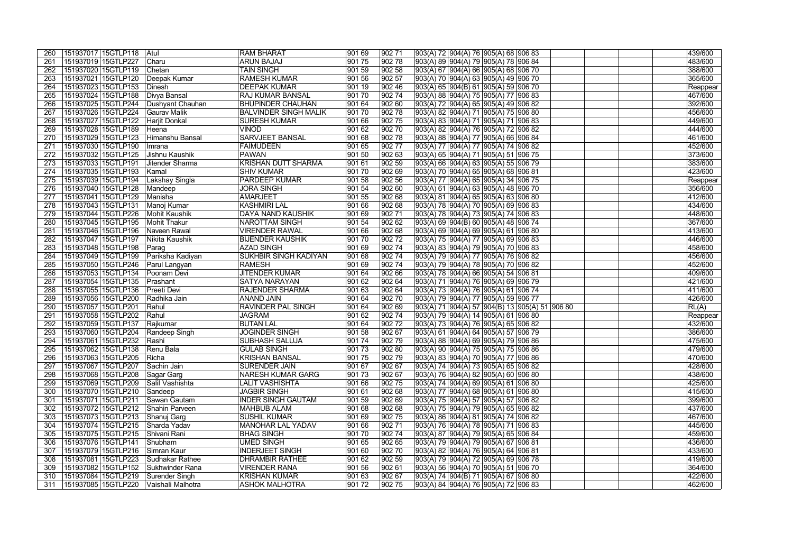| 260 | 151937017 15GTLP118   Atul                        | <b>RAM BHARAT</b>            | 901 69 | 90271      | 903(A) 72  904(A) 76  905(A) 68  906 83            | 439/600  |
|-----|---------------------------------------------------|------------------------------|--------|------------|----------------------------------------------------|----------|
| 261 | 151937019 15GTLP227<br>Charu                      | <b>ARUN BAJAJ</b>            | 90175  | 90278      | 903(A) 89  904(A) 79  905(A) 78  906 84            | 483/600  |
| 262 | 151937020 15GTLP119 Chetan                        | <b>TAIN SINGH</b>            | 90159  | 902 58     | 903(A) 67 904(A) 66 905(A) 68 906 70               | 388/600  |
| 263 | 151937021 15GTLP120 Deepak Kumar                  | <b>RAMESH KUMAR</b>          | 901 56 | 902 57     | 903(A) 70  904(A) 63  905(A) 49  906 70            | 365/600  |
| 264 | 151937023 15GTLP153 Dinesh                        | <b>DEEPAK KUMAR</b>          | 90119  | 90246      | 903(A) 65  904(B) 61  905(A) 59  906 70            | Reappear |
| 265 |                                                   | <b>RAJ KUMAR BANSAL</b>      | 90170  | 90274      | $ 903(A) 88   904(A) 75   905(A) 77   906 83$      | 467/600  |
|     |                                                   |                              |        |            |                                                    | 392/600  |
| 266 | 151937025 15GTLP244 Dushyant Chauhan              | <b>BHUPINDER CHAUHAN</b>     | 90164  | 90260      | 903(A) 72 904(A) 65 905(A) 49 906 82               |          |
| 267 | 151937026 15GTLP224 Gaurav Malik                  | <b>BALVINDER SINGH MALIK</b> | 90170  | 902 78     | 903(A) 82  904(A) 71  905(A) 75  906 80            | 456/600  |
| 268 | 151937027 15GTLP122 Harjit Donkal                 | <b>SURESH KUMAR</b>          | 901 66 | 90275      | 903(A) 83  904(A) 71  905(A) 71  906 83            | 449/600  |
| 269 | 151937028 15GTLP189<br>Heena                      | <b>VINOD</b>                 | 901 62 | $ 902\,70$ | 903(A) 82  904(A) 76  905(A) 72  906 82            | 444/600  |
| 270 | 151937029 15GTLP123<br>Himanshu Bansal            | <b>SARVJEET BANSAL</b>       | 90168  | 90278      | 903(A) 88 904(A) 77 905(A) 66 906 84               | 461/600  |
| 271 | 151937030 15GTLP190<br>Imrana                     | <b>FAIMUDEEN</b>             | 90165  | 90277      | 903(A) 77  904(A) 77  905(A) 74  906 82            | 452/600  |
| 272 | 151937032 15GTLP125<br>Jishnu Kaushik             | PAWAN                        | 901 50 | 90263      | 903(A) 65  904(A) 71  905(A) 51  906 75            | 373/600  |
| 273 | 151937033 15GTLP191<br>Jitender Sharma            | KRISHAN DUTT SHARMA          | 901 61 | 90259      | 903(A) 66  904(A) 63  905(A) 55  906 79            | 383/600  |
| 274 | 151937035 15GTLP193<br>Kamal                      | <b>SHIV KUMAR</b>            | 901 70 | 90269      | 903(A) 70 904(A) 65 905(A) 68 906 81               | 423/600  |
| 275 | 151937039 15GTLP194<br>Lakshay Singla             | <b>PARDEEP KUMAR</b>         | 90158  | 902 56     | 903(A) 77 904(A) 65 905(A) 34 906 75               | Reappear |
| 276 | 151937040 15GTLP128<br>Mandeep                    | <b>JORA SINGH</b>            | 90154  | 90260      | 903(A) 61 904(A) 63 905(A) 48 906 70               | 356/600  |
| 277 | 151937041 15GTLP129<br>Manisha                    | AMARJEET                     | 90155  | 90268      | 903(A) 81 904(A) 65 905(A) 63 906 80               | 412/600  |
| 278 | 151937043 15GTLP131<br>Manoj Kumar                | <b>KASHMIRI LAL</b>          | 901 66 | 90268      | 903(A) 78 904(A) 70 905(A) 69 906 83               | 434/600  |
| 279 | 151937044 15GTLP226<br>Mohit Kaushik              | <b>DAYA NAND KAUSHIK</b>     | 90169  | 90271      | 903(A) 78  904(A) 73  905(A) 74  906 83            | 448/600  |
| 280 | 151937045 15GTLP195<br>Mohit Thakur               | NAROTTAM SINGH               | 901 54 | 90262      | 903(A) 69 904(B) 60 905(A) 48 906 74               | 367/600  |
| 281 | 151937046 15GTLP196 Naveen Rawal                  | <b>VIRENDER RAWAL</b>        | 901 66 | 90268      | 903(A) 69  904(A) 69  905(A) 61  906 80            | 413/600  |
| 282 | 151937047 15GTLP197<br>Nikita Kaushik             | <b>BIJENDER KAUSHIK</b>      | 901 70 | 90272      | 903(A) 75 904(A) 77 905(A) 69 906 83               | 446/600  |
| 283 | 151937048 15GTLP198<br>$\sqrt{\frac{1}{2}}$ Parag | <b>AZAD SINGH</b>            | 90169  | 90274      | 903(A) 83  904(A) 79  905(A) 70  906 83            | 458/600  |
| 284 | 151937049 15GTLP199 Pariksha Kadiyan              | <b>SUKHBIR SINGH KADIYAN</b> | 901 68 | 90274      | 903(A) 79  904(A) 77  905(A) 76  906 82            | 456/600  |
| 285 |                                                   | RAMESH                       | 90169  | 90274      | 903(A) 79 904(A) 78 905(A) 70 906 82               | 452/600  |
| 286 | 151937053 15GTLP134<br>Poonam Devi                | <b>JITENDER KUMAR</b>        | 90164  | 902 66     | 903(A) 78 904(A) 66 905(A) 54 906 81               | 409/600  |
| 287 | 151937054 15GTLP135                               | <b>SATYA NARAYAN</b>         | 90162  | 90264      |                                                    | 421/600  |
|     | Prashant                                          |                              |        |            | 903(A) 71 904(A) 76 905(A) 69 906 79               |          |
| 288 | 151937055 15GTLP136<br>Preeti Devi                | <b>RAJENDER SHARMA</b>       | 90163  | 902 64     | 903(A) 73 904(A) 76 905(A) 61 906 74               | 411/600  |
| 289 | 151937056 15GTLP200<br>Radhika Jain               | <b>ANAND JAIN</b>            | 901 64 | 902 70     | 903(A) 79  904(A) 77  905(A) 59  906 77            | 426/600  |
| 290 | 151937057 15GTLP201<br>Rahul                      | <b>RAVINDER PAL SINGH</b>    | 901 64 | 902 69     | 903(A) 71  904(A) 57  904(B) 13  905(A) 51  906 80 | RL(A)    |
| 291 | 151937058 15GTLP202<br>Rahul                      | <b>JAGRAM</b>                | 901 62 | $ 902\,74$ | 903(A) 79  904(A) 14  905(A) 61  906 80            | Reappear |
| 292 | 151937059 15GTLP137<br>Rajkumar                   | <b>BUTAN LAL</b>             | 901 64 | 90272      | 903(A) 73  904(A) 76  905(A) 65  906 82            | 432/600  |
| 293 | 151937060 15GTLP204<br>Randeep Singh              | <b>JOGINDER SINGH</b>        | 901 58 | 90267      | 903(A) 61  904(A) 64  905(A) 57  906 79            | 386/600  |
| 294 | 151937061 15GTLP232<br>Rashi                      | <b>SUBHASH SALUJA</b>        | 90174  | 90279      | 903(A) 88  904(A) 69  905(A) 79  906 86            | 475/600  |
| 295 | 151937062 15GTLP138 Renu Bala                     | <b>GULAB SINGH</b>           | 90173  | 902 80     | 903(A) 90  904(A) 75  905(A) 75  906 86            | 479/600  |
|     | 151937063 15GTLP205 Richa                         | <b>KRISHAN BANSAL</b>        | 901 75 | 90279      | 903(A) 83  904(A) 70  905(A) 77  906 86            | 470/600  |
| 297 | 151937067   15GTLP207   Sachin Jain               | <b>SURENDER JAIN</b>         | 901 67 | 90267      | 903(A) 74  904(A) 73  905(A) 65  906 82            | 428/600  |
| 298 | 151937068 15GTLP208 Sagar Garg                    | <b>NARESH KUMAR GARG</b>     | 901 73 | 902 67     | 903(A) 76  904(A) 82  905(A) 60  906 80            | 438/600  |
| 299 | 151937069 15GTLP209 Salil Vashishta               | <b>LALIT VASHISHTA</b>       | 901 66 | 90275      | 903(A) 74  904(A) 69  905(A) 61  906 80            | 425/600  |
| 300 | 151937070 15GTLP210 Sandeep                       | <b>JAGBIR SINGH</b>          | 901 61 | 902 68     | 903(A) 77  904(A) 68  905(A) 61  906 80            | 415/600  |
| 301 | 151937071 15GTLP211 Sawan Gautam                  | <b>INDER SINGH GAUTAM</b>    | 901 59 | 902 69     | 903(A) 75  904(A) 57  905(A) 57  906 82            | 399/600  |
| 302 | 151937072 15GTLP212 Shahin Parveen                | MAHBUB ALAM                  | 901 68 | 902 68     | 903(A) 75  904(A) 79  905(A) 65  906 82            | 437/600  |
| 303 | 151937073 15GTLP213 Shanuj Garg                   | <b>SUSHIL KUMAR</b>          | 901 69 | 90275      | 903(A) 86 904(A) 81 905(A) 74 906 82               | 467/600  |
| 304 | 151937074 15GTLP215 Sharda Yadav                  | <b>MANOHAR LAL YADAV</b>     | 901 66 | 90271      | 903(A) 76  904(A) 78  905(A) 71  906 83            | 445/600  |
| 305 | 151937075 15GTLP215 Shivani Rani                  | <b>BHAG SINGH</b>            | 901 70 | 90274      | 903(A) 87  904(A) 79  905(A) 65  906 84            | 459/600  |
| 306 | 151937076 15GTLP141<br>Shubham                    | <b>UMED SINGH</b>            | 901 65 | 902 65     | 903(A) 79  904(A) 79  905(A) 67  906 81            | 436/600  |
| 307 | 151937079 15GTLP216 Simran Kaur                   | <b>INDERJEET SINGH</b>       | 901 60 | 90270      | 903(A) 82  904(A) 76  905(A) 64  906 81            | 433/600  |
| 308 | 151937081 15GTLP223 Sudhakar Rathee               | <b>DHRAMBIR RATHEE</b>       | 901 62 | 90259      | 903(A) 79 904(A) 72 905(A) 69 906 78               | 419/600  |
| 309 | 151937082 15GTLP152 Sukhwinder Rana               | <b>VIRENDER RANA</b>         | 901 56 | 90261      | 903(A) 56  904(A) 70  905(A) 51  906 70            | 364/600  |
| 310 | 151937084 15GTLP219 Surender Singh                | <b>KRISHAN KUMAR</b>         | 901 63 | 902 67     | 903(A) 74  904(B) 71  905(A) 67  906 80            | 422/600  |
| 311 | 151937085 15GTLP220 Vaishali Malhotra             | <b>ASHOK MALHOTRA</b>        | 90172  | 90275      | 903(A) 84  904(A) 76  905(A) 72  906 83            | 462/600  |
|     |                                                   |                              |        |            |                                                    |          |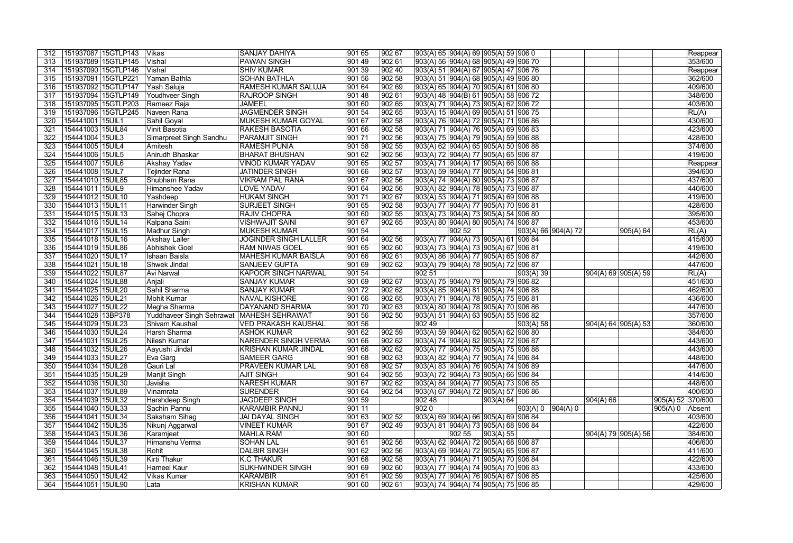| 312 | 151937087 15GTLP143 | Vikas                                       | <b>SANJAY DAHIYA</b>         | 901 65 | 902 67 | 903(A) 65  904(A) 69  905(A) 59  906 0       |                 |           |                     |                       |                       |                       | Reappear          |
|-----|---------------------|---------------------------------------------|------------------------------|--------|--------|----------------------------------------------|-----------------|-----------|---------------------|-----------------------|-----------------------|-----------------------|-------------------|
| 313 | 151937089 15GTLP145 | Vishal                                      | <b>PAWAN SINGH</b>           | 90149  | 902 61 | 903(A) 56  904(A) 68  905(A) 49  906 70      |                 |           |                     |                       |                       |                       | 353/600           |
| 314 | 151937090 15GTLP146 | Vishal                                      | <b>SHIV KUMAR</b>            | 901 39 | 902 40 | 903(A) 51  904(A) 67  905(A) 47  906 76      |                 |           |                     |                       |                       |                       | Reappear          |
| 315 | 151937091 15GTLP221 | Yaman Bathla                                | <b>SOHAN BATHLA</b>          | 901 56 | 902 58 | 903(A) 51  904(A) 68  905(A) 49  906 80      |                 |           |                     |                       |                       |                       | 362/600           |
| 316 | 151937092 15GTLP147 | Yash Saluja                                 | <b>RAMESH KUMAR SALUJA</b>   | 90164  | 90269  | 903(A) 65  904(A) 70  905(A) 61  906 80      |                 |           |                     |                       |                       |                       | 409/600           |
| 317 | 151937094 15GTLP149 | Youdhveer Singh                             | <b>RAJROOP SINGH</b>         | 90148  | 90261  | 903(A) 48  904(B) 61  905(A) 58  906 72      |                 |           |                     |                       |                       |                       | 348/600           |
| 318 | 151937095 15GTLP203 | Rameez Raja                                 | <b>JAMEEL</b>                | 901 60 | 90265  | 903(A) 71  904(A) 73  905(A) 62  906 72      |                 |           |                     |                       |                       |                       | 403/600           |
| 319 | 151937096 15GTLP245 | Naveen Rana                                 | <b>JAGMENDER SINGH</b>       | 90154  | 90265  | 903(A) 15  904(A) 69  905(A) 51  906 75      |                 |           |                     |                       |                       |                       | RL(A)             |
| 320 | 154441001   15UIL1  | Sahil Goyal                                 | <b>MUKESH KUMAR GOYAL</b>    | 901 67 | 90258  | 903(A) 76  904(A) 72  905(A) 71  906 86      |                 |           |                     |                       |                       |                       | 430/600           |
| 321 | 154441003 15UIL84   | Vinit Basotia                               | <b>RAKESH BASOTIA</b>        | 901 66 | 902 58 | 903(A) 71 904(A) 76 905(A) 69 906 83         |                 |           |                     |                       |                       |                       | 423/600           |
| 322 | 154441004 15UIL3    | Simarpreet Singh Sandhu                     | <b>PARAMJIT SINGH</b>        | 90171  | 902 56 | 903(A) 75 904(A) 79 905(A) 59 906 88         |                 |           |                     |                       |                       |                       | 428/600           |
| 323 | 154441005 15UIL4    | Amitesh                                     | <b>RAMESH PUNIA</b>          | 90158  | 902 55 | 903(A) 62  904(A) 65  905(A) 50  906 88      |                 |           |                     |                       |                       |                       | 374/600           |
| 324 | 154441006 15UIL5    | Anirudh Bhaskar                             | <b>BHARAT BHUSHAN</b>        | 90162  | 902 56 | 903(A) 72 904(A) 77 905(A) 65 906 87         |                 |           |                     |                       |                       |                       | 419/600           |
| 325 | 154441007 15UIL6    | Akshay Yadav                                | VINOD KUMAR YADAV            | 90165  | 902 57 | 903(A) 71  904(A) 17  905(A) 66  906 88      |                 |           |                     |                       |                       |                       | Reappear          |
| 326 | 154441008 15UIL7    | <b>Tejinder Rana</b>                        | <b>JATINDER SINGH</b>        | 901 66 | 902 57 | 903(A) 59  904(A) 77  905(A) 54  906 81      |                 |           |                     |                       |                       |                       | 394/600           |
| 327 | 154441010 15UIL85   | Shubham Rana                                | <b>VIKRAM PAL RANA</b>       | 90167  | 902 56 | 903(A) 74  904(A) 80  905(A) 73  906 87      |                 |           |                     |                       |                       |                       | 437/600           |
| 328 | 154441011 15UIL9    | Himanshee Yadav                             | <b>LOVE YADAV</b>            | 90164  | 90256  | 903(A) 82 904(A) 78 905(A) 73 906 87         |                 |           |                     |                       |                       |                       | 440/600           |
| 329 | 154441012 15UIL10   | Yashdeep                                    | <b>HUKAM SINGH</b>           | 90171  | 90267  | 903(A) 53 904(A) 71 905(A) 69 906 88         |                 |           |                     |                       |                       |                       | 419/600           |
| 330 | 154441013 15UIL11   | Harwinder Singh                             | <b>SURJEET SINGH</b>         | 901 65 | 902 58 |                                              |                 |           |                     |                       |                       |                       | 428/600           |
|     | 154441015 15UIL13   |                                             | <b>RAJIV CHOPRA</b>          | 901 60 | 902 55 | 903(A) 77  904(A) 77  905(A) 70  906 81      |                 |           |                     |                       |                       |                       | 395/600           |
| 331 |                     | Sahej Chopra                                |                              |        |        | 903(A) 73  904(A) 73  905(A) 54  906 80      |                 |           |                     |                       |                       |                       |                   |
| 332 | 154441016 15UIL14   | Kalpana Saini                               | <b>VISHWAJIT SAINI</b>       | 901 67 | 902 65 | 903(A) 80  904(A) 80  905(A) 74  906 87      |                 |           |                     |                       |                       |                       | 453/600           |
| 334 | 154441017   15UIL15 | Madhur Singh                                | <b>MUKESH KUMAR</b>          | 901 54 |        |                                              | $ 90252\rangle$ |           |                     | 903(A) 66   904(A) 72 |                       | 905(A) 64             | RL(A)             |
| 335 | 154441018 15UIL16   | Akshay Laller                               | <b>JOGINDER SINGH LALLER</b> | 901 64 | 902 56 | 903(A) 77 904(A) 73 905(A) 61 906 84         |                 |           |                     |                       |                       |                       | 415/600           |
| 336 | 154441019 15UIL86   | <b>Abhishek Goel</b>                        | <b>RAM NIWAS GOEL</b>        | 901 65 | 90260  | 903(A) 73 904(A) 73 905(A) 67 906 81         |                 |           |                     |                       |                       |                       | 419/600           |
| 337 | 154441020 15UIL17   | Ishaan Baisla                               | <b>MAHESH KUMAR BAISLA</b>   | 901 66 | 90261  | 903(A) 86  904(A) 77  905(A) 65  906 87      |                 |           |                     |                       |                       |                       | 442/600           |
| 338 | 154441021   15UIL18 | Shwek Jindal                                | <b>SANJEEV GUPTA</b>         | 901 69 | 902 62 | 903(A) 79  904(A) 78  905(A) 72  906 87      |                 |           |                     |                       |                       |                       | 447/600           |
| 339 | 154441022 15UIL87   | <b>Avi Narwal</b>                           | <b>KAPOOR SINGH NARWAL</b>   | 901 54 |        | 902 51                                       |                 |           | 903(A) 39           |                       |                       | 904(A) 69   905(A) 59 | RL(A)             |
| 340 | 154441024 15UIL88   | Anjali                                      | <b>SANJAY KUMAR</b>          | 90169  | 90267  | 903(A) 75 904(A) 79 905(A) 79 906 82         |                 |           |                     |                       |                       |                       | 451/600           |
| 341 | 154441025 15UIL20   | Sahil Sharma                                | <b>SANJAY KUMAR</b>          | 90172  | 90262  | 903(A) 85 904(A) 81 905(A) 74 906 88         |                 |           |                     |                       |                       |                       | 462/600           |
| 342 | 154441026 15UIL21   | <b>Mohit Kumar</b>                          | <b>NAVAL KISHORE</b>         | 901 66 | 90265  | 903(A) 71 904(A) 78 905(A) 75 906 81         |                 |           |                     |                       |                       |                       | 436/600           |
| 343 | 154441027 15UIL22   | Megha Sharma                                | <b>DAYANAND SHARMA</b>       | 90170  | 90263  | 903(A) 80 904(A) 78 905(A) 70 906 86         |                 |           |                     |                       |                       |                       | 447/600           |
| 344 | 154441028 13BP378   | Yuddhaveer Singh Sehrawat   MAHESH SEHRAWAT |                              | 901 56 | 902 50 | 903(A) 51  904(A) 63  905(A) 55  906 82      |                 |           |                     |                       |                       |                       | 357/600           |
| 345 | 154441029 15UIL23   | Shivam Kaushal                              | <b>VED PRAKASH KAUSHAL</b>   | 901 56 |        | $ 90249\rangle$                              |                 |           | 903(A) 58           |                       | 904(A) 64   905(A) 53 |                       | 360/600           |
| 346 | 154441030 15UIL24   | Harsh Sharma                                | <b>ASHOK KUMAR</b>           | 901 62 | 90259  | $903(A) 59   904(A) 62   905(A) 62   906 80$ |                 |           |                     |                       |                       |                       | 384/600           |
| 347 | 154441031 15UIL25   | Nilesh Kumar                                | NARENDER SINGH VERMA         | 901 66 | 90262  | 903(A) 74 904(A) 82 905(A) 72 906 87         |                 |           |                     |                       |                       |                       | 443/600           |
| 348 | 154441032 15UIL26   | Aayushi Jindal                              | <b>KRISHAN KUMAR JINDAL</b>  | 901 66 | 902 62 | 903(A) 77  904(A) 75  905(A) 75  906 88      |                 |           |                     |                       |                       |                       | 443/600           |
| 349 | 154441033 15UIL27   | Eva Garg                                    | <b>SAMEER GARG</b>           | 90168  | 90263  | 903(A) 82 904(A) 77 905(A) 74 906 84         |                 |           |                     |                       |                       |                       | 448/600           |
| 350 | 154441034 15UIL28   | Gauri Lal                                   | PRAVEEN KUMAR LAL            | 901 68 | 902 57 | 903(A) 83 904(A) 76 905(A) 74 906 89         |                 |           |                     |                       |                       |                       | 447/600           |
| 351 | 154441035 15UIL29   | Manjit Singh                                | <b>AJIT SINGH</b>            | 901 64 | 902 55 | 903(A) 72  904(A) 73  905(A) 66  906 84      |                 |           |                     |                       |                       |                       | 414/600           |
| 352 | 154441036 15UIL30   | Javisha                                     | <b>NARESH KUMAR</b>          | 901 67 | 902 62 | 903(A) 84 904(A) 77 905(A) 73 906 85         |                 |           |                     |                       |                       |                       | 448/600           |
| 353 | 154441037 15UIL89   | Vinamrata                                   | <b>SURENDER</b>              | 901 64 | 902 54 | 903(A) 67  904(A) 72  905(A) 57  906 86      |                 |           |                     |                       |                       |                       | 400/600           |
| 354 | 154441039   15UIL32 | Harshdeep Singh                             | <b>JAGDEEP SINGH</b>         | 901 59 |        | 90248                                        |                 | 903(A) 64 |                     |                       | 904(A) 66             |                       | 905(A) 52 370/600 |
| 355 | 154441040   15UIL33 | Sachin Pannu                                | <b>KARAMBIR PANNU</b>        | 901 11 |        | $ 9020\rangle$                               |                 |           | 903(A) 0   904(A) 0 |                       |                       |                       | 905(A) 0 Absent   |
| 356 | 154441041   15UIL34 | Saksham Sihag                               | <b>JAI DAYAL SINGH</b>       | 901 63 | 902 52 | 903(A) 69 904(A) 66 905(A) 69 906 84         |                 |           |                     |                       |                       |                       | 403/600           |
| 357 | 154441042 15UIL35   | Nikunj Aggarwal                             | <b>VINEET KUMAR</b>          | 901 67 | 902 49 | 903(A) 81  904(A) 73  905(A) 68  906 84      |                 |           |                     |                       |                       |                       | 422/600           |
| 358 | 154441043   15UIL36 | Karamjeet                                   | <b>MAHLA RAM</b>             | 901 60 |        |                                              | $ 902\,55 $     | 903(A) 55 |                     |                       |                       | 904(A) 79  905(A) 56  | 384/600           |
| 359 | 154441044 15UIL37   | Himanshu Verma                              | <b>SOHAN LAL</b>             | 901 61 | 902 56 | 903(A) 62 904(A) 72 905(A) 68 906 87         |                 |           |                     |                       |                       |                       | 406/600           |
| 360 | 154441045 15UIL38   | Rohit                                       | <b>DALBIR SINGH</b>          | 901 62 | 902 56 | 903(A) 69 904(A) 72 905(A) 65 906 87         |                 |           |                     |                       |                       |                       | 411/600           |
| 361 | 154441046 15UIL39   | Kirti Thakur                                | <b>K.C THAKUR</b>            | 901 68 | 902 58 | 903(A) 71  904(A) 71  905(A) 70  906 84      |                 |           |                     |                       |                       |                       | 422/600           |
| 362 | 154441048 15UIL41   | Harneel Kaur                                | <b>SUKHWINDER SINGH</b>      | 901 69 | 902 60 | 903(A) 77  904(A) 74  905(A) 70  906 83      |                 |           |                     |                       |                       |                       | 433/600           |
| 363 | 154441050 15UIL42   | Vikas Kumar                                 | <b>KARAMBIR</b>              | 901 61 | 902 59 | 903(A) 77  904(A) 76  905(A) 67  906 85      |                 |           |                     |                       |                       |                       | 425/600           |
| 364 | 154441051 15UIL90   | Lata                                        | <b>KRISHAN KUMAR</b>         | 901 60 | 902 61 | 903(A) 74  904(A) 74  905(A) 75  906 85      |                 |           |                     |                       |                       |                       | 429/600           |
|     |                     |                                             |                              |        |        |                                              |                 |           |                     |                       |                       |                       |                   |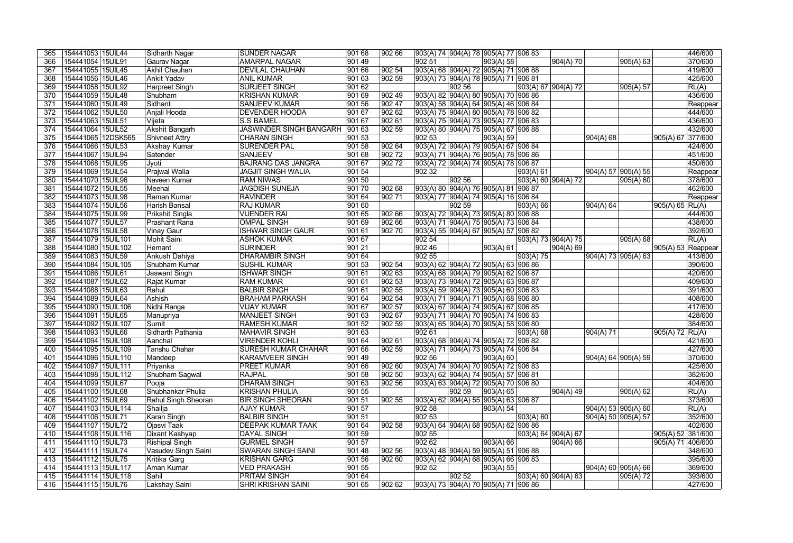| 365 | 154441053 15UIL44   | Sidharth Nagar         | <b>SUNDER NAGAR</b>            | 901 68          | 902 66          |        |                 | 903(A) 74 904(A) 78 905(A) 77 906 83          |           |                      |               |                       | 446/600                           |
|-----|---------------------|------------------------|--------------------------------|-----------------|-----------------|--------|-----------------|-----------------------------------------------|-----------|----------------------|---------------|-----------------------|-----------------------------------|
| 366 | 154441054 15UIL91   | Gaurav Nagar           | <b>AMARPAL NAGAR</b>           | 90149           |                 | 902 51 |                 | 903(A) 58                                     |           | 904(A) 70            |               | 905(A) 63             | 370/600                           |
| 367 | 154441055 15UIL45   | Akhil Chauhan          | <b>DEVILAL CHAUHAN</b>         | 901 66          | $ 902\,54$      |        |                 | 903(A) 68 904(A) 72 905(A) 71 906 88          |           |                      |               |                       | 419/600                           |
| 368 | 154441056 15UIL46   | Ankit Yadav            | <b>ANIL KUMAR</b>              | 901 63          | 902 59          |        |                 | 903(A) 73  904(A) 78  905(A) 71  906 81       |           |                      |               |                       | 425/600                           |
| 369 | 154441058 15UIL92   | <b>Harpreet Singh</b>  | <b>SURJEET SINGH</b>           | 90162           |                 |        | 902 56          |                                               |           | 903(A) 67 904(A) 72  |               | 905(A) 57             | RL(A)                             |
| 370 | 154441059 15UIL48   | Shubham                | <b>KRISHAN KUMAR</b>           | $ 90169\rangle$ | 90249           |        |                 | 903(A) 82 904(A) 80 905(A) 70 906 86          |           |                      |               |                       | 436/600                           |
| 371 | 154441060 15UIL49   | Sidhant                | <b>SANJEEV KUMAR</b>           | 90156           | 902 47          |        |                 | $ 903(A) 58   904(A) 64   905(A) 46   906 84$ |           |                      |               |                       | Reappear                          |
| 372 | 154441062 15UIL50   | Anjali Hooda           | <b>DEVENDER HOODA</b>          | 90167           | 902 62          |        |                 | $ 903(A) 75  904(A) 80  905(A) 78  906 82$    |           |                      |               |                       | 444/600                           |
| 373 | 154441063 15UIL51   | Vijeta                 | <b>S.S BAMEL</b>               | 90167           | 90261           |        |                 | 903(A) 75  904(A) 73  905(A) 77  906 83       |           |                      |               |                       | 436/600                           |
| 374 | 154441064 15UIL52   | <b>Akshit Bangarh</b>  | <b>JASWINDER SINGH BANGARH</b> | 90163           | 90259           |        |                 | 903(A) 80 904(A) 75 905(A) 67 906 88          |           |                      |               |                       | 432/600                           |
| 375 | 154441065 12DSK565  | <b>Shivneet Attry</b>  | <b>CHARAN SINGH</b>            | $ 90153\rangle$ |                 | 902 53 |                 | 903(A) 59                                     |           |                      | 904(A) 68     |                       | 905(A) 67 377/600                 |
| 376 | 154441066 15UIL53   | <b>Akshay Kumar</b>    | <b>SURENDER PAL</b>            | 90158           | 90264           |        |                 | 903(A) 72 904(A) 79 905(A) 67 906 84          |           |                      |               |                       | 424/600                           |
| 377 | 154441067 15UIL94   | Satender               | <b>SANJEEV</b>                 | 901 68          | 90272           |        |                 | $ 903(A) 71  904(A) 76  905(A) 78  906 86$    |           |                      |               |                       | 451/600                           |
| 378 | 154441068 15UIL95   | Jyoti                  | <b>BAJRANG DAS JANGRA</b>      | 90167           | 90272           |        |                 | 903(A) 72 904(A) 74 905(A) 78 906 87          |           |                      |               |                       | 450/600                           |
| 379 | 154441069 15UIL54   | Prajwal Walia          | <b>JAGJIT SINGH WALIA</b>      | 901 54          |                 | 902 32 |                 |                                               | 903(A) 61 |                      |               | 904(A) 57 905(A) 55   | Reappear                          |
| 380 | 154441070 15UIL96   | Naveen Kumar           | <b>RAM NIWAS</b>               | 901 50          |                 |        | 902 56          |                                               |           | 903(A) 60 904(A) 72  |               | 905(A) 60             | 378/600                           |
| 381 | 154441072 15UIL55   | Meenal                 | <b>JAGDISH SUNEJA</b>          | 901 70          | 902 68          |        |                 | 903(A) 80 904(A) 76 905(A) 81 906 87          |           |                      |               |                       | 462/600                           |
| 382 | 154441073 15UIL98   | Raman Kumar            | <b>RAVINDER</b>                | 90164           | $ 902\;71$      |        |                 | 903(A) 77 904(A) 74 905(A) 16 906 84          |           |                      |               |                       | Reappear                          |
| 383 | 154441074 15UIL56   | Harish Bansal          | <b>RAJ KUMAR</b>               | 901 60          |                 |        | 902 59          |                                               | 903(A) 66 |                      | $ 904(A) $ 64 |                       | 905(A) 65   RL(A)                 |
| 384 | 154441075 15UIL99   | <b>Prikshit Singla</b> | <b>VIJENDER RAI</b>            | 901 65          | 90266           |        |                 | 903(A) 72 904(A) 73 905(A) 80 906 88          |           |                      |               |                       | 444/600                           |
| 385 | 154441077   15UIL57 | <b>Prashant Rana</b>   | <b>OMPAL SINGH</b>             | 901 69          | 90266           |        |                 | 903(A) 71 904(A) 75 905(A) 73 906 84          |           |                      |               |                       | 438/600                           |
| 386 | 154441078 15UIL58   | <b>Vinay Gaur</b>      | <b>ISHWAR SINGH GAUR</b>       | 90161           | 90270           |        |                 | 903(A) 55  904(A) 67  905(A) 57  906 82       |           |                      |               |                       | 392/600                           |
| 387 | 154441079 15UIL101  | <b>Mohit Saini</b>     | <b>ASHOK KUMAR</b>             | 90167           |                 | 902 54 |                 |                                               |           | 903(A) 73  904(A) 75 |               | 905(A) 68             | RL(A)                             |
| 388 | 154441080 15UIL102  | Hemant                 | <b>SURINDER</b>                | 901 21          |                 | 902 46 |                 | 903(A) 61                                     |           | 904(A) 69            |               |                       | $\overline{ 905(A) 53 }$ Reappear |
| 389 | 154441083 15UIL59   | Ankush Dahiya          | <b>DHARAMBIR SINGH</b>         | 901 64          |                 | 90255  |                 |                                               | 903(A) 75 |                      |               | 904(A) 73  905(A) 63  | 413/600                           |
| 390 | 154441084 15UIL105  | Shubham Kumar          | SUSHIL KUMAR                   | 901 53          | 902 54          |        |                 | 903(A) 62 904(A) 72 905(A) 63 906 86          |           |                      |               |                       | 390/600                           |
| 391 | 154441086 15UIL61   | <b>Jaswant Singh</b>   | <b>ISHWAR SINGH</b>            | 90161           | $ 90263\rangle$ |        |                 | 903(A) 68 904(A) 79 905(A) 62 906 87          |           |                      |               |                       | 420/600                           |
| 392 | 154441087 15UIL62   | Rajat Kumar            | <b>RAM KUMAR</b>               | 901 61          | 90253           |        |                 | 903(A) 73 904(A) 72 905(A) 63 906 87          |           |                      |               |                       | 409/600                           |
| 393 | 154441088 15UIL63   | Rahul                  | <b>BALBIR SINGH</b>            | 901 61          | 902 55          |        |                 | 903(A) 59 904(A) 73 905(A) 60 906 83          |           |                      |               |                       | 391/600                           |
| 394 | 154441089 15UIL64   | <b>Ashish</b>          | <b>BRAHAM PARKASH</b>          | 90164           | $ 902\,54$      |        |                 | 903(A) 71 904(A) 71 905(A) 68 906 80          |           |                      |               |                       | 408/600                           |
| 395 | 154441090 15UIL106  | Nidhi Ranga            | <b>VIJAY KUMAR</b>             | 90167           | $ 902\,57$      |        |                 | 903(A) 67 904(A) 74 905(A) 67 906 85          |           |                      |               |                       | 417/600                           |
| 396 | 154441091 15UIL65   | Manupriya              | <b>MANJEET SINGH</b>           | 90163           | 90267           |        |                 | 903(A) 71 904(A) 70 905(A) 74 906 83          |           |                      |               |                       | 428/600                           |
| 397 | 154441092 15UIL107  | Sumit                  | <b>RAMESH KUMAR</b>            | 901 52          | 902 59          |        |                 | 903(A) 65  904(A) 70  905(A) 58  906 80       |           |                      |               |                       | 384/600                           |
| 398 | 154441093 15UIL66   | Sidharth Pathania      | <b>MAHAVIR SINGH</b>           | 901 63          |                 | 90261  |                 |                                               | 903(A) 68 |                      | 904(A) 71     |                       | 905(A) 72 RL(A)                   |
| 399 | 154441094 15UIL108  | Aanchal                | <b>VIRENDER KOHLI</b>          | 901 64          | 90261           |        |                 | 903(A) 68  904(A) 74  905(A) 72  906 82       |           |                      |               |                       | 421/600                           |
| 400 | 154441095 15UIL109  | Tanshu Chahar          | <b>SURESH KUMAR CHAHAR</b>     | 901 66          | 902 59          |        |                 | 903(A) 71  904(A) 73  905(A) 74  906 84       |           |                      |               |                       | 427/600                           |
| 401 | 154441096 15UIL110  | Mandeep                | <b>KARAMVEER SINGH</b>         | $ 90149\rangle$ |                 | 902 56 |                 | 903(A) 60                                     |           |                      |               | 904(A) 64 905(A) 59   | 370/600                           |
| 402 | 154441097 15UIL111  | Priyanka               | <b>PREET KUMAR</b>             | 901 66          | 902 60          |        |                 | 903(A) 74  904(A) 70  905(A) 72  906 83       |           |                      |               |                       | 425/600                           |
| 403 | 154441098 15UIL112  | Shubham Sagwal         | <b>RAJPAL</b>                  | 901 58          | 902 50          |        |                 | 903(A) 62  904(A) 74  905(A) 57  906 81       |           |                      |               |                       | 382/600                           |
| 404 | 154441099 15UIL67   | Pooja                  | <b>DHARAM SINGH</b>            | 901 63          | 902 56          |        |                 | 903(A) 63 904(A) 72 905(A) 70 906 80          |           |                      |               |                       | 404/600                           |
| 405 | 154441100 15UIL68   | Shubhankar Phulia      | <b>KRISHAN PHULIA</b>          | 901 55          |                 |        | 902 59          | $ 903(A) $ 65                                 |           | $904(A)$ 49          |               | 905(A) 62             | RL(A)                             |
| 406 | 154441102   15UIL69 | Rahul Singh Sheoran    | <b>BIR SINGH SHEORAN</b>       | 901 51          | 902 55          |        |                 | 903(A) 62  904(A) 55  905(A) 63  906 87       |           |                      |               |                       | 373/600                           |
| 407 | 154441103 15UIL114  | Shailja                | <b>AJAY KUMAR</b>              | 901 57          |                 | 902 58 |                 | 903(A) 54                                     |           |                      |               | 904(A) 53  905(A) 60  | RL(A)                             |
| 408 | 154441106 15UIL71   | Karan Singh            | <b>BALBIR SINGH</b>            | 901 51          |                 | 902 53 |                 |                                               | 903(A) 60 |                      |               | 904(A) 50   905(A) 57 | 352/600                           |
| 409 | 154441107   15UIL72 | Ojasvi Taak            | <b>DEEPAK KUMAR TAAK</b>       | 901 64          | 902 58          |        |                 | 903(A) 64 904(A) 68 905(A) 62 906 86          |           |                      |               |                       | 402/600                           |
| 410 | 154441108 15UIL116  | Dixant Kashyap         | <b>DAYAL SINGH</b>             | 901 59          |                 | 902 55 |                 |                                               |           | 903(A) 64 904(A) 67  |               |                       | 905(A) 52 381/600                 |
| 411 | 154441110 15UIL73   | <b>Rishipal Singh</b>  | <b>GURMEL SINGH</b>            | 901 57          |                 | 902 62 |                 | 903(A) 66                                     |           | 904(A)66             |               |                       | 905(A) 71 406/600                 |
| 412 | 154441111 15UIL74   | Vasudev Singh Saini    | SWARAN SINGH SAINI             | 90148           | 902 56          |        |                 | 903(A) 48  904(A) 59  905(A) 51  906 88       |           |                      |               |                       | 348/600                           |
| 413 | 154441112 15UIL75   | <b>Kritika Garg</b>    | <b>KRISHAN GARG</b>            | 901 56          | 902 60          |        |                 | $903(A) 62   904(A) 68   905(A) 66   906 83$  |           |                      |               |                       | 395/600                           |
| 414 | 154441113 15UIL117  | Aman Kumar             | <b>VED PRAKASH</b>             | 901 55          |                 | 902 52 |                 | 903(A) 55                                     |           |                      |               | 904(A) 60   905(A) 66 | 369/600                           |
| 415 | 154441114 15UIL118  | Sahil                  | <b>PRITAM SINGH</b>            | $ 90164\rangle$ |                 |        | $ 90252\rangle$ |                                               |           | 903(A) 60 904(A) 63  |               | 905(A) 72             | 393/600                           |
| 416 | 154441115 15UIL76   | Lakshay Saini          | <b>SHRI KRISHAN SAINI</b>      | 901 65          | 902 62          |        |                 | 903(A) 73  904(A) 70  905(A) 71  906 86       |           |                      |               |                       | 427/600                           |